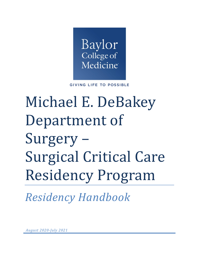

**GIVING LIFE TO POSSIBLE** 

# Michael E. DeBakey Department of Surgery – Surgical Critical Care Residency Program

*Residency Handbook*

*August 2020-July 2021*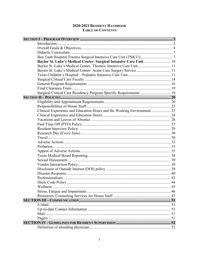## 2020-2021 RESIDENT HANDBOOK **TABLE OF CONTENTS**

| Baylor St. Luke's Medical Center- Surgical Intensive Care Unit 10      |  |
|------------------------------------------------------------------------|--|
| Baylor St. Luke's Medical Center- Thoracic Intensive Care Unit  11     |  |
| Baylor St. Luke's Medical Center- Acute Care Surgery Service 11        |  |
|                                                                        |  |
|                                                                        |  |
|                                                                        |  |
|                                                                        |  |
| Surgical Critical Care Residency Program Specific Requirements  19     |  |
|                                                                        |  |
|                                                                        |  |
|                                                                        |  |
| Clinical Experience and Education Hours and the Working Environment 23 |  |
|                                                                        |  |
|                                                                        |  |
|                                                                        |  |
|                                                                        |  |
|                                                                        |  |
|                                                                        |  |
|                                                                        |  |
|                                                                        |  |
|                                                                        |  |
|                                                                        |  |
|                                                                        |  |
|                                                                        |  |
|                                                                        |  |
|                                                                        |  |
|                                                                        |  |
|                                                                        |  |
|                                                                        |  |
|                                                                        |  |
|                                                                        |  |
|                                                                        |  |
| E-Mail                                                                 |  |
|                                                                        |  |
|                                                                        |  |
|                                                                        |  |
|                                                                        |  |
|                                                                        |  |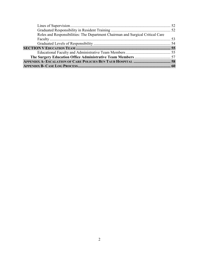| Roles and Responsibilities: The Department Chairman and Surgical Critical Care |  |
|--------------------------------------------------------------------------------|--|
|                                                                                |  |
|                                                                                |  |
|                                                                                |  |
|                                                                                |  |
|                                                                                |  |
|                                                                                |  |
|                                                                                |  |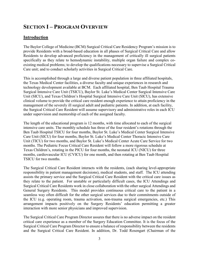# <span id="page-3-0"></span>**SECTION I – PROGRAM OVERVIEW**

## <span id="page-3-1"></span>**Introduction**

The Baylor College of Medicine (BCM) Surgical Critical Care Residency Program's mission is to provide Residents with a broad-based education in all phases of Surgical Critical Care and allow Residents to develop advanced proficiency in the management of critically ill surgical patients specifically as they relate to hemodynamic instability, multiple organ failure and complex coexisting medical problems; to develop the qualifications necessary to supervise a Surgical Critical Care unit; and to conduct scholarly activities in Surgical Critical Care.

This is accomplished through a large and diverse patient population in three affiliated hospitals, the Texas Medical Center facilities, a diverse faculty and unique experiences in research and technology development available at BCM. Each affiliated hospital, Ben Taub Hospital Trauma Surgical Intensive Care Unit (TSICU), Baylor St. Luke's Medical Center Surgical Intensive Care Unit (SICU), and Texas Children's Hospital Surgical Intensive Care Unit (SICU), has extensive clinical volume to provide the critical care resident enough experience to attain proficiency in the management of the severely ill surgical adult and pediatric patients. In addition, at each facility, the Surgical Critical Care Resident will assume supervisory and administrative roles in each ICU under supervision and mentorship of each of the assigned faculty.

The length of the educational program is 12 months, with time allocated to each of the surgical intensive care units. The monthly schedule has three of the four resident's rotations through the Ben Taub Hospital TSICU for four months, Baylor St. Luke's Medical Center Surgical Intensive Care Unit (SICU) for four months, Baylor St. Luke's Medical Center Thoracic Intensive Care Unit (TICU) for two months, and Baylor St. Luke's Medical Center Acute Care Service for two months. The Pediatric Focus Critical Care Resident will follow a more rigorous schedule at Texas Children's, rotating in the PICU for four months, the neonatal ICU (NICU) for three months, cardiovascular ICU (CVICU) for one month, and then rotating at Ben Taub Hospital TSICU for two months.

The Surgical Critical Care Resident interacts with the residents, (each sharing level-appropriate responsibility in patient management decisions), medical students, and staff. The ICU attending assists the primary service and the Surgical Critical Care Resident with the critical care issues as they relate to the patient. For unstable or particularly difficult cases, the ICU Attendings and Surgical Critical Care Residents work in close collaboration with the other surgical Attendings and General Surgery Residents. This model provides continuous critical care to the patient in a seamless way often difficult for the other surgical services due to their commitments outside of the ICU (e.g. operating room, trauma activation, non-trauma surgical emergencies, etc.) This arrangement impacts positively on the Surgery Residents' education permitting a greater interaction with more senior physicians and improved supervision.

The Surgical Critical Care Program Director assures that there is no adverse impact on the resident critical care experience as a member of the Surgery Education Committee. It is the focus of the Surgical Critical Care Program Director to ensure a balance of responsibility between the residents and the Surgical Critical Care Resident. In addition, Dr. Todd Rosengart (Chairman of the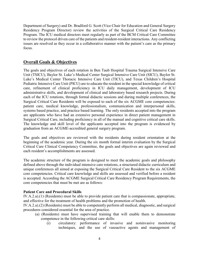Department of Surgery) and Dr. Bradford G. Scott (Vice Chair for Education and General Surgery Residency Program Director) review the activities of the Surgical Critical Care Residency Program. The ICU medical directors meet regularly as part of the BCM Critical Care Committee to review the protocol driven care of the patients and resident-resident interactions. Any conflicting issues are resolved as they occur in a collaborative manner with the patient's care as the primary focus.

## <span id="page-4-0"></span>**Overall Goals & Objectives**

The goals and objectives of each rotation in Ben Taub Hospital Trauma Surgical Intensive Care Unit (TSICU), Baylor St. Luke's Medical Center Surgical Intensive Care Unit (SICU), Baylor St. Luke's Medical Center Thoracic Intensive Care Unit (TICU), and Texas Children's Hospital Pediatric Intensive Care Unit (PICU) are to educate the resident in the special knowledge of critical care, refinement of clinical proficiency in ICU daily management, development of ICU administrative skills, and development of clinical and laboratory based research projects. During each of the ICU rotations, through formal didactic sessions and during multiple conferences, the Surgical Critical Care Residents will be exposed to each of the six ACGME core competencies: patient care, medical knowledge, professionalism, communication and interpersonal skills, systems based practice, and practice based learning. The only residents accepted into the program are applicants who have had an extensive personal experience in direct patient management in Surgical Critical Care, including proficiency in all of the manual and cognitive critical care skills. The knowledge and skill level of the applicants accepted into the program is evidenced by graduation from an ACGME-accredited general surgery program.

The goals and objectives are reviewed with the residents during resident orientation at the beginning of the academic year. During the six month formal interim evaluation by the Surgical Critical Care Clinical Competency Committee, the goals and objectives are again reviewed and each resident's accomplishments are assessed.

The academic structure of the program is designed to meet the academic goals and philosophy defined above through the individual intensive care rotations, a structured didactic curriculum and unique conferences all aimed at exposing the Surgical Critical Care Resident to the six ACGME core competencies. Critical care knowledge and skills are assessed and verified before a resident is accepted. According the ACGME Surgical Critical Care Residency Program Requirements, the core competencies that must be met are as follows:

## **Patient Care and Procedural Skills**

IV.A.2.a).(1) (Residents) must be able to provide patient care that is compassionate, appropriate, and effective for the treatment of health problems and the promotion of health.

IV.A.2.a).(2) (Residents) must be able to competently perform all medical, diagnostic, and surgical procedures considered essential for the area of practice.

- (a) (Residents) must have supervised training that will enable them to demonstrate competence in the following critical care skills:
	- (i) circulatory: performance of invasive and noninvasive monitoring techniques, and the use of vasoactive agents and management of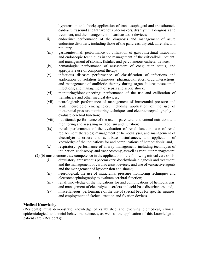hypotension and shock; application of trans-esophageal and transthoracic cardiac ultrasound and transvenous pacemakers, dysrhythmia diagnosis and treatment, and the management of cardiac assist devices;

- ii) endocrine: performance of the diagnosis and management of acute endocrine disorders, including those of the pancreas, thyroid, adrenals, and pituitary;
- (iii) gastrointestinal: performance of utilization of gastrointestinal intubation and endoscopic techniques in the management of the critically-ill patient; and management of stomas, fistulas, and percutaneous catheter devices;
- (iv) hematologic: performance of assessment of coagulation status, and appropriate use of component therapy;
- (v) infectious disease: performance of classification of infections and application of isolation techniques, pharmacokinetics, drug interactions, and management of antibiotic therapy during organ failure; nosocomial infections; and management of sepsis and septic shock;
- (vi) monitoring/bioengineering: performance of the use and calibration of transducers and other medical devices;
- (vii) neurological: performance of management of intracranial pressure and acute neurologic emergencies, including application of the use of intracranial pressure monitoring techniques and electroencephalography to evaluate cerebral function;
- (viii) nutritional: performance of the use of parenteral and enteral nutrition, and monitoring and assessing metabolism and nutrition;
- (ix) renal: performance of the evaluation of renal function; use of renal replacement therapies; management of hemodialysis, and management of electrolyte disorders and acid-base disturbances; and application of knowledge of the indications for and complications of hemodialysis; and,
- (x) respiratory: performance of airway management, including techniques of intubation, endoscopy, and tracheostomy, as well as ventilator management.
- (2).(b) must demonstrate competence in the application of the following critical care skills:
	- (i) circulatory: transvenous pacemakers; dysrhythmia diagnosis and treatment, and the management of cardiac assist devices; and use of vasoactive agents and the management of hypotension and shock;
	- (ii) neurological: the use of intracranial pressure monitoring techniques and electroencephalography to evaluate cerebral function;
	- (iii) renal: knowledge of the indications for and complications of hemodialysis, and management of electrolyte disorders and acid-base disturbances; and,
	- (iv) miscellaneous: performance of the use of special beds for specific injuries, and employment of skeletal traction and fixation devices.

#### **Medical Knowledge**

(Residents) must demonstrate knowledge of established and evolving biomedical, clinical, epidemiological and social-behavioral sciences, as well as the application of this knowledge to patient care. (Residents):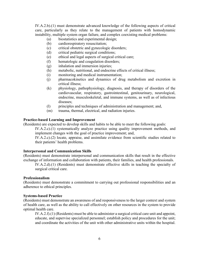IV.A.2.b).(1) must demonstrate advanced knowledge of the following aspects of critical care, particularly as they relate to the management of patients with homodynamic instability, multiple system organ failure, and complex coexisting medical problems:

- (a) biostatistics and experimental design;
- (b) cardiorespiratory resuscitation;
- (c) critical obstetric and gynecologic disorders;
- (d) critical pediatric surgical conditions;
- (e) ethical and legal aspects of surgical critical care;
- (f) hematologic and coagulation disorders;
- (g) inhalation and immersion injuries;
- (h) metabolic, nutritional, and endocrine effects of critical illness;
- (i) monitoring and medical instrumentation;
- (j) pharmacokinetics and dynamics of drug metabolism and excretion in critical illness;
- (k) physiology, pathophysiology, diagnosis, and therapy of disorders of the cardiovascular, respiratory, gastrointestinal, genitourinary, neurological, endocrine, musculoskeletal, and immune systems, as well as of infectious diseases;
- (l) principles and techniques of administration and management; and,
- (m) trauma, thermal, electrical, and radiation injuries.

#### **Practice-based Learning and Improvement**

(Residents) are expected to develop skills and habits to be able to meet the following goals:

IV.A.2.c).(1) systematically analyze practice using quality improvement methods, and implement changes with the goal of practice improvement; and,

IV.A.2.c).(2) locate, appraise, and assimilate evidence from scientific studies related to their patients' health problems.

#### **Interpersonal and Communication Skills**

(Residents) must demonstrate interpersonal and communication skills that result in the effective exchange of information and collaboration with patients, their families, and health professionals.

IV.A.2.d).(1) (Residents) must demonstrate effective skills in teaching the specialty of surgical critical care.

#### **Professionalism**

(Residents) must demonstrate a commitment to carrying out professional responsibilities and an adherence to ethical principles.

#### **Systems-based Practice**

(Residents) must demonstrate an awareness of and responsiveness to the larger context and system of health care, as well as the ability to call effectively on other resources in the system to provide optimal health care.

IV.A.2.f).(1) (Residents) must be able to administer a surgical critical care unit and appoint, educate, and supervise specialized personnel; establish policy and procedures for the unit; and coordinate the activities of the unit with other administrative units within the hospital.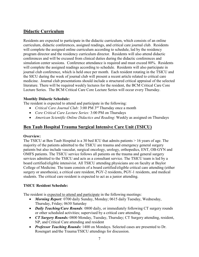## <span id="page-7-0"></span>**Didactic Curriculum**

Residents are expected to participate in the didactic curriculum, which consists of an online curriculum, didactic conferences, assigned readings, and critical care journal club. Residents will complete the assigned online curriculum according to schedule, led by the residency program director and the residency curriculum director. Residents will also attend didactic conferences and will be excused from clinical duties during the didactic conferences and simulation center sessions. Conference attendance is required and must exceed 80%. Residents will complete the assigned readings according to schedule. Residents will also participate in journal club conference, which is held once per month. Each resident rotating in the TSICU and the SICU during the week of journal club will present a recent article related to critical care medicine. Journal club presentations should include a structured critical appraisal of the selected literature. There will be required weekly lectures for the resident, the BCM Critical Care Core Lecture Series. The BCM Critical Care Core Lecture Series will occur every Thursday.

## **Monthly Didactic Schedule:**

The resident is expected to attend and participate in the following:

- *Critical Care Journal Club:* 3:00 PM 3rd Thursday once a month
- *Core Critical Care Lecture Series:* 3:00 PM on Thursdays
- *American Scientific Online Didactics and Reading*: Weekly as assigned on Thursdays

## <span id="page-7-1"></span>**Ben Taub Hospital Trauma Surgical Intensive Care Unit (TSICU)**

## **Overview:**

The TSICU at Ben Taub Hospital is a 30 bed ICU that admits patients > 16 years of age. The majority of the patients admitted to the TSICU are trauma and emergency general surgery patients but also include vascular, surgical oncology, urology, orthopedics, ENT, OB-GYN and OMFS patients. The TSICU service follows all patients on the trauma and general surgery services admitted to the TSICU and acts as a consultant service. The TSICU team is led by a board certified/eligible intensivist. All TSICU attending physicians are on faculty at Baylor College of Medicine. The team consists of a board certified/eligible critical care attending (either surgery or anesthesia), a critical care resident, PGY-2 residents, PGY-1 residents, and medical students. The critical care resident is expected to act as a junior attending.

## **TSICU Resident Schedule:**

The resident is expected to attend and participate in the following meetings:

- *Morning Report:* 0700 daily Sunday, Monday; 0615 daily Tuesday, Wednesday, Thursday, Friday; 0630 Saturday
- *Daily Teaching/Care Rounds*: 0800 daily, or immediately following CT surgery rounds or other scheduled activities; supervised by a critical care attending.
- *CT Surgery Rounds:* 0800 Monday, Tuesday, Thursday; CT Surgery attending, resident, NP, and Critical Care attending and resident
- *Professor Teaching Rounds:* 1400 on Mondays. Selected cases are presented to Dr. Rosengart and/the Trauma/TSICU attendings for discussion.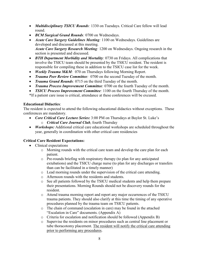- *Multidisciplinary TSICU Rounds:* 1330 on Tuesdays. Critical Care fellow will lead round.
- *BCM Surgical Grand Rounds:* 0700 on Wednesdays.
- *Acute Care Surgery Guidelines Meeting*: 1100 on Wednesdays. Guidelines are developed and discussed at this meeting. *Acute Care Surgery Research Meeting:* 1200 on Wednesdays. Ongoing research in the section is presented and discussed.
- *BTH Department Morbidity and Mortality:* 0730 on Fridays. All complications that involve the TSICU team should be presented by the TSICU resident. The resident is responsible for compiling these in addition to the TSICU case list for the week.
- *Weekly Trauma M&M*: 070 on Thursdays following Morning Report.
- *Trauma Peer Review Committee:* 0700 on the second Tuesday of the month.
- *Trauma Grand Rounds:* 0715 on the third Tuesday of the month.
- *Trauma Process Improvement Committee:* 0700 on the fourth Tuesday of the month.
- *TSICU Process Improvement Committee:* 1100 on the fourth Thursday of the month.

\*If a patient care issue is critical, attendance at these conferences will be excused.

## **Educational Didactics**:

The resident is expected to attend the following educational didactics without exceptions. These conferences are mandatory.

- *Core Critical Care Lecture Series:* 3:00 PM on Thursdays at Baylor St. Luke's o *Critical Care Journal Club*, fourth Thursday
- *Workshops:* Additional critical care educational workshops are scheduled throughout the year, generally in coordination with other critical care residencies

## **Critical Care Resident Expectations:**

- Clinical expectations
	- o Morning rounds with the critical care team and develop the care plan for each patient.
	- o Pre-rounds briefing with respiratory therapy (to plan for any anticipated extubations) and the TSICU charge nurse (to plan for any discharges or transfers than can be facilitated in a timely manner)
	- o Lead morning rounds under the supervision of the critical care attending.
	- o Afternoon rounds with the residents and students.
	- o See all patients followed by the TSICU medical students and help them prepare their presentations. Morning Rounds should not be discovery rounds for the resident.
	- o Attend trauma morning report and report any major occurrences of the TSICU trauma patients. They should also clarify at this time the timing of any operative procedures planned by the trauma team on TSICU patients.
	- o The chain of command (escalation in care) may be found in the attached "Escalation in Care" documents. (Appendix A)
	- o Criteria for escalation and notification should be followed (Appendix B)
	- o Supervise the residents on minor procedures such as central line placement or tube thoracotomy placement. The resident will notify the critical care attending prior to performing any procedures.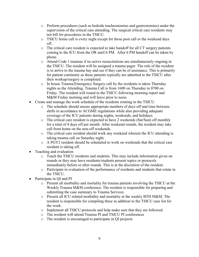- o Perform procedures (such as bedside tracheostomies and gastrostomies) under the supervision of the critical care attending. The surgical critical care residents may not bill for procedures in the TSICU.
- o TSICU home call is every night except for those post call or the weekend days off.
- o The critical care resident is expected to take handoff for all CT surgery patients coming to the ICU from the OR until 6 PM. After 6 PM handoff can be taken by phone.
- o Attend Code 1 traumas if no active resuscitations are simultaneously ongoing in the TSICU. The resident will be assigned a trauma pager. The role of the resident is to arrive to the trauma bay and see if they can be of assistance. This is primarily for patient continuity as these patients typically are admitted to the TSICU after their workup/surgery is completed.
- o In house Trauma/Emergency Surgery call by the residents is taken Thursday nights as the Attending. Trauma Call is from 1600 on Thursday to 0700 on Friday. The resident will round in the TSICU following morning report and M&M Friday morning and will leave prior to noon.
- Create and manage the work schedule of the residents rotating in the TSICU.
	- o The schedule should ensure appropriate numbers of days off and time between shifts in accordance to ACGME regulations while also providing adequate coverage of the ICU patients during nights, weekends, and holidays.
	- o The critical care resident is expected to have 2 weekends (Sat/Sun) off monthly for a total of 4 days off per month. After weekend rounds, the resident may take call from home on the non-off weekends.
	- o The critical care resident should work any weekend wherein the ICU attending is taking trauma call on Saturday night.
	- o A PGY2 resident should be scheduled to work on weekends that the critical care resident is taking off.
- Teaching and evaluation
	- o Teach the TSICU residents and students. This may include information given on rounds or they may have residents/students present topics or protocols immediately before or after rounds. This is at the discretion of the resident.
	- o Participate in evaluation of the performance of residents and students that rotate in the TSICU.
- Participate in QI and PI
	- o Present all morbidity and mortality for trauma patients involving the TSICU at the Weekly Trauma M&M conference. The resident is responsible for preparing and submitting the case summary to Trauma Services.
	- o Present all ICU related morbidity and mortality at the weekly BTH M&M. The resident is responsible for compiling these in addition to the TSICU case list for the week.
	- o Implement all TSICU protocols and help make sure that they are followed.
	- o The resident will attend Trauma PI and TSICU PI conferences
	- o The resident is encouraged to participate in QI projects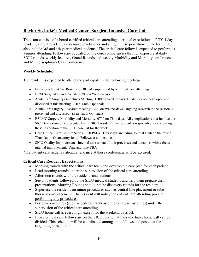## <span id="page-10-0"></span>**Baylor St. Luke's Medical Center- Surgical Intensive Care Unit**

The team consists of a board certified critical care attending, a critical care fellow, a PGY-1 day resident, a night resident, a day nurse practitioner and a night nurse practitioner. The team may also include 3rd and 4th year medical students. The critical care fellow is expected to perform as a junior attending. Fellows are educated on the core competencies through exposure at daily SICU rounds, weekly lectures, Grand Rounds and weekly Morbidity and Mortality conference and Multidisciplinary Case Conference.

## **Weekly Schedule:**

The resident is expected to attend and participate in the following meetings:

- Daily Teaching/Care Rounds: 0830 daily supervised by a critical care attending.
- BCM Surgical Grand Rounds: 0700 on Wednesdays
- Acute Care Surgery Guidelines Meeting: 1100 on Wednesdays. Guidelines are developed and discussed at this meeting. (Ben Taub, Optional)
- Acute Care Surgery Research Meeting: 1200 on Wednesdays. Ongoing research in the section is presented and discussed. (Ben Taub, Optional)
- BSLMC Surgery Morbidity and Mortality: 0700 on Thursdays. All complications that involve the SICU team should be presented by the SICU resident. The resident is responsible for compiling these in addition to the SICU case list for the week.
- Core Critical Care Lecture Series: 3:00 PM on Thursdays, including Journal Club on the fourth Thursday. – (Mandatory for all Fellows at all locations)
- SICU Quality Improvement Internal assessment of unit processes and outcomes with a focus on internal improvement. Date and time TBA

\*If a patient care issue is critical, attendance at these conferences will be excused.

## **Critical Care Resident Expectations:**

- Morning rounds with the critical care team and develop the care plan for each patient.
- Lead morning rounds under the supervision of the critical care attending.
- Afternoon rounds with the residents and students.
- See all patients followed by the SICU medical students and help them prepare their presentations. Morning Rounds should not be discovery rounds for the resident.
- Supervise the residents on minor procedures such as central line placement or tube thoracotomy placement. The resident will notify the critical care attending prior to performing any procedures.
- Perform procedures (such as bedside tracheostomies and gastrostomies) under the supervision of the critical care attending.
- SICU home call is every night except for the weekend days off.
- If two critical care fellows are on the SICU rotation at the same time, home call can be divided. This schedule will be coordinated amongst the fellows and posted at the beginning of the month.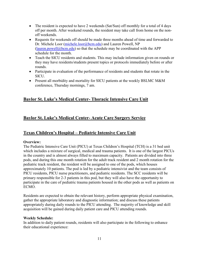- The resident is expected to have 2 weekends (Sat/Sun) off monthly for a total of 4 days off per month. After weekend rounds, the resident may take call from home on the nonoff weekends.
- Requests for weekends off should be made three months ahead of time and forwarded to Dr. Michele Loor [\(michele.loor@bcm.edu\)](mailto:michele.loor@bcm.edu) and Lauren Powell, NP  $(lauren, powell@bcm.edu)$  so that the schedule may be coordinated with the APP schedule for the month.
- Teach the SICU residents and students. This may include information given on rounds or they may have residents/students present topics or protocols immediately before or after rounds.
- Participate in evaluation of the performance of residents and students that rotate in the SICU.
- Present all morbidity and mortality for SICU patients at the weekly BSLMC M&M conference, Thursday mornings, 7 am.

## <span id="page-11-0"></span>**Baylor St. Luke's Medical Center- Thoracic Intensive Care Unit**

## <span id="page-11-1"></span>**Baylor St. Luke's Medical Center- Acute Care Surgery Service**

## <span id="page-11-2"></span>**Texas Children's Hospital – Pediatric Intensive Care Unit**

## **Overview:**

The Pediatric Intensive Care Unit (PICU) at Texas Children's Hospital (TCH) is a 31 bed unit which includes a mixture of surgical, medical and trauma patients. It is one of the largest PICUs in the country and is almost always filled to maximum capacity. Patients are divided into three pods, and during this one month rotation for the adult track resident and 2 month rotation for the pediatric track resident, the resident will be assigned to one of the pods, which houses approximately 10 patients. The pod is led by a pediatric intensivist and the team consists of PICU residents, PICU nurse practitioners, and pediatric residents. The SCC residents will be primary responsible for 2-3 patients in this pod, but they will also have the opportunity to participate in the care of pediatric trauma patients housed in the other pods as well as patients on ECMO.

Residents are expected to obtain the relevant history, perform appropriate physical examination, gather the appropriate laboratory and diagnostic information; and discuss these patients appropriately during daily rounds to the PICU attending. The majority of knowledge and skill acquisition will be gained during daily patient care and PICU attending rounds.

#### **Weekly Schedule:**

In addition to daily patient rounds, residents will also participate in the following to enhance their educational experience: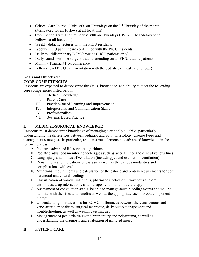- Critical Care Journal Club: 3:00 on Thursdays on the  $3<sup>rd</sup>$  Thursday of the month (Mandatory for all Fellows at all locations)
- Core Critical Care Lecture Series: 3:00 on Thursdays (BSL). (Mandatory for all Fellows at all locations)
- Weekly didactic lectures with the PICU residents
- Weekly PICU patient care conference with the PICU residents
- Daily multidisciplinary ECMO rounds (PICU patients only)
- Daily rounds with the surgery trauma attending on all PICU trauma patients
- Monthly Trauma M+M conference
- Fellow-Level PICU call (in rotation with the pediatric critical care fellows)

## **Goals and Objectives:**

## **CORE COMPETENCIES**

Residents are expected to demonstrate the skills, knowledge, and ability to meet the following core competencies listed below:

- I. Medical Knowledge
- II. Patient Care
- III. Practice-Based Learning and Improvement
- IV. Interpersonal and Communication Skills
- V. Professionalism
- VI. Systems-Based Practice

## **I. MEDICAL/SURGICAL KNOWLEDGE**

Residents must demonstrate knowledge of managing a critically ill child, particularly understanding the differences between pediatric and adult physiology, disease types and management strategies. In particular, residents must demonstrate advanced knowledge in the following areas:

- A. Pediatric advanced life support algorithms
- B. Pediatric advanced monitoring techniques such as arterial lines and central venous lines
- C. Lung injury and modes of ventilation (including jet and oscillation ventilation)
- D. Renal injury and indications of dialysis as well as the various modalities and complications with each
- E. Nutritional requirements and calculation of the caloric and protein requirements for both parenteral and enteral feedings
- F. Classification of various infections, pharmacokinetics of intravenous and oral antibiotics, drug interactions, and management of antibiotic therapy
- G. Assessment of coagulation status, be able to manage acute bleeding events and will be familiar with the risks and benefits as well as the appropriate use of blood component therapy
- H. Understanding of indications for ECMO, differences between the veno-venous and veno-arterial modalities, surgical technique, daily pump management and troubleshooting, as well as weaning techniques
- I. Management of pediatric traumatic brain injury and polytrauma, as well as understanding the diagnosis and evaluation of inflicted injury

## **II. PATIENT CARE**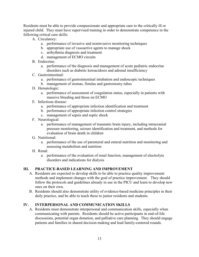Residents must be able to provide compassionate and appropriate care to the critically ill or injured child. They must have supervised training in order to demonstrate competence in the following critical care skills:

- A. Circulatory:
	- a. performance of invasive and noninvasive monitoring techniques
	- b. appropriate use of vasoactive agents to manage shock
	- c. arrhythmia diagnosis and treatment
	- d. management of ECMO circuits
- B. Endocrine:
	- a. performance of the diagnosis and management of acute pediatric endocrine disorders such as diabetic ketoacidosis and adrenal insufficiency
- C. Gastrointestinal:
	- a. performance of gastrointestinal intubation and endoscopic techniques
	- b. management of stomas, fistulas and gastrostomy tubes
- D. Hematologic:
	- a. performance of assessment of coagulation status, especially in patients with massive bleeding and those on ECMO
- E. Infectious disease:
	- a. performance of appropriate infection identification and treatment
	- b. performance of appropriate infection control strategies
	- c. management of sepsis and septic shock
- F. Neurological:
	- a. performance of management of traumatic brain injury, including intracranial pressure monitoring, seizure identification and treatment, and methods for evaluation of brain death in children
- G. Nutritional:
	- a. performance of the use of parenteral and enteral nutrition and monitoring and assessing metabolism and nutrition
- H. Renal:
	- a. performance of the evaluation of renal function, management of electrolyte disorders and indications for dialysis

## **III. PRACTICE-BASED LEARNING AND IMPROVEMENT**

- A. Residents are expected to develop skills to be able to practice quality improvement methods and implement changes with the goal of practice improvement. They should follow the protocols and guidelines already in use in the PICU and learn to develop new ones on their own.
- B. Residents should also demonstrate utility of evidence-based medicine principles in their daily practice, and be able to teach these to junior residents and students.

## **IV. INTERPERSONAL AND COMMUNICATION SKILLS**

A. Residents must demonstrate interpersonal and communication skills, especially when communicating with parents. Residents should be active participants in end-of-life discussions, potential organ donation, and palliative care planning. They should engage patients and families in shared decision-making and lead family-centered rounds.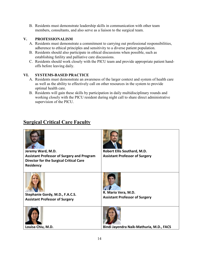B. Residents must demonstrate leadership skills in communication with other team members, consultants, and also serve as a liaison to the surgical team.

## **V. PROFESSIONALISM**

- A. Residents must demonstrate a commitment to carrying out professional responsibilities, adherence to ethical principles and sensitivity to a diverse patient population.
- B. Residents should also participate in ethical discussions when possible, such as establishing futility and palliative care discussions.
- C. Residents should work closely with the PICU team and provide appropriate patient handoffs before leaving daily.

## **VI. SYSTEMS-BASED PRACTICE**

- A. Residents must demonstrate an awareness of the larger context and system of health care as well as the ability to effectively call on other resources in the system to provide optimal health care.
- B. Residents will gain these skills by participation in daily multidisciplinary rounds and working closely with the PICU resident during night call to share direct administrative supervision of the PICU.

# <span id="page-14-0"></span>**Surgical Critical Care Faculty**

| Jeremy Ward, M.D.<br><b>Assistant Professor of Surgery and Program</b><br><b>Director for the Surgical Critical Care</b><br><b>Residency</b> | Robert Ellis Southard, M.D.<br><b>Assistant Professor of Surgery</b> |
|----------------------------------------------------------------------------------------------------------------------------------------------|----------------------------------------------------------------------|
| Stephanie Gordy, M.D., F.A.C.S.<br><b>Assistant Professor of Surgery</b>                                                                     | R. Mario Vera, M.D.<br><b>Assistant Professor of Surgery</b>         |
| Louisa Chiu, M.D.                                                                                                                            | Bindi Jayendra Naik-Mathuria, M.D., FACS                             |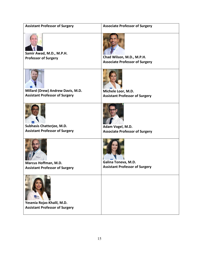| <b>Assistant Professor of Surgery</b>                                      | <b>Associate Professor of Surgery</b>                              |
|----------------------------------------------------------------------------|--------------------------------------------------------------------|
| Samir Awad, M.D., M.P.H.<br><b>Professor of Surgery</b>                    | Chad Wilson, M.D., M.P.H.<br><b>Associate Professor of Surgery</b> |
| Millard (Drew) Andrew Davis, M.D.<br><b>Assistant Professor of Surgery</b> | Michele Loor, M.D.                                                 |
|                                                                            | <b>Assistant Professor of Surgery</b>                              |
| Subhasis Chatterjee, M.D.<br><b>Assistant Professor of Surgery</b>         | Adam Vogel, M.D.<br><b>Associate Professor of Surgery</b>          |
| Marcus Hoffman, M.D.<br><b>Assistant Professor of Surgery</b>              | Galina Toneva, M.D.<br><b>Assistant Professor of Surgery</b>       |
| Yesenia Rojas-Khalil, M.D.<br><b>Assistant Professor of Surgery</b>        |                                                                    |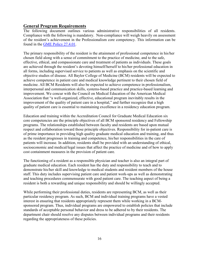## <span id="page-16-0"></span>**General Program Requirements**

The following document outlines various administrative responsibilities of all residents. Compliance with the following is mandatory. Non-compliance will weigh heavily on assessment of the resident's achievement in the Professionalism core competency. This information can be found in the [GME Policy 27.4.01.](http://intranet.bcm.edu/index.cfm?fuseaction=Policies.Display_Policy&Policy_Number=27.4.01)

The primary responsibility of the resident is the attainment of professional competence in his/her chosen field along with a sense of commitment to the practice of medicine, and to the safe, effective, ethical, and compassionate care and treatment of patients as individuals. These goals are achieved through the resident's devoting himself/herself to his/her professional education in all forms, including supervised service to patients as well as emphasis on the scientific and objective studies of disease. All Baylor College of Medicine (BCM) residents will be expected to achieve competence in patient care and medical knowledge pertinent to their chosen field of medicine. All BCM Residents will also be expected to achieve competence in professionalism, interpersonal and communication skills, systems-based practice and practice-based learning and improvement. We concur with the Council on Medical Education of the American Medical Association that "a well-organized, effective, educational program inevitably results in the improvement of the quality of patient care in a hospital," and further recognize that a high quality of patient care is essential to maintaining excellence in a residency education program.

Education and training within the Accreditation Council for Graduate Medical Education six core competencies are the principle objectives of all BCM sponsored residency and Fellowship programs. The relationships established between faculty and residents are based upon mutual respect and collaboration toward those principle objectives. Responsibility for in-patient care is of prime importance in providing high quality graduate medical education and training, and thus as the resident progresses in training and competence, his/her responsibilities in the care of patients will increase. In addition, residents shall be provided with an understanding of ethical, socioeconomic and medical/legal issues that affect the practice of medicine and of how to apply cost containment measures in the provision of patient care.

The functioning of a resident as a responsible physician and teacher is also an integral part of graduate medical education. Each resident has the duty and responsibility to teach and to demonstrate his/her skill and knowledge to medical students and resident members of the house staff. This duty includes supervising patient care and patient work-ups as well as demonstrating and teaching procedures commensurate with good patient care. The teaching aspect of being a resident is both a rewarding and unique responsibility and should be willingly accepted.

While performing their professional duties, residents are representing BCM, as well as their particular residency program. As such, BCM and individual training programs have a vested interest in ensuring that residents appropriately represent them while working in a BCMsponsored program. Thus, individual programs are empowered to establish policies that include standards of acceptable personal behavior and dress to be adhered to by their residents. The department chair should resolve any disputes between individual programs and their residents regarding the appropriateness of these policies.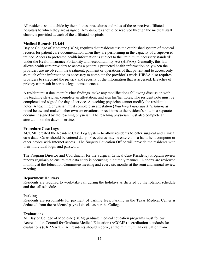All residents should abide by the policies, procedures and rules of the respective affiliated hospitals to which they are assigned. Any disputes should be resolved through the medical staff channels provided at each of the affiliated hospitals.

#### **[Medical Records 27.4.04](http://intranet.bcm.edu/index.cfm?fuseaction=Policies.Display_Policy&Policy_Number=27.4.04)**

Baylor College of Medicine (BCM) requires that residents use the established system of medical records for patient care documentation when they are performing in the capacity of a supervised trainee. Access to protected health information is subject to the "minimum necessary standard" under the Health Insurance Portability and Accountability Act (HIPAA). Generally, this law allows health care providers to access a patient's protected health information only when the providers are involved in the treatment, payment or operations of that patient and to access only as much of the information as necessary to complete the provider's work. HIPAA also requires providers to safeguard the privacy and security of the information that is accessed. Breaches of privacy can result in serious legal consequences.

A resident must document his/her findings, make any modifications following discussion with the teaching physician, complete an attestation, and sign his/her notes. The resident note must be completed and signed the day of service. A teaching physician cannot modify the resident's notes. A teaching physician must complete an attestation (*Teaching Physician Attestation)* as noted below and make his/her own observations or revisions to the resident's note in a separate document signed by the teaching physician. The teaching physician must also complete an attestation on the date of service.

#### **Procedure Case Logs**

ACGME created the Resident Case Log System to allow residents to enter surgical and clinical case data. Cases should be entered daily. Procedures may be entered on a hand-held computer or other device with Internet access. The Surgery Education Office will provide the residents with their individual login and password.

The Program Director and Coordinator for the Surgical Critical Care Residency Program review reports regularly to ensure that data entry is occurring in a timely manner. Reports are reviewed monthly at the Education Committee meeting and every six months at the semi and annual review meeting.

#### **Department Holidays**

Residents are required to work/take call during the holidays as dictated by the rotation schedule and the call schedule.

#### **Parking**

Residents are responsible for payment of parking fees. Parking in the Texas Medical Center is deducted from the residents' payroll checks as per the College.

#### **Evaluations**

All Baylor College of Medicine (BCM) graduate medical education programs must follow Accreditation Council for Graduate Medical Education (ACGME) accreditation standards for evaluations (CRP VA.2.). All residents should receive, at the minimum, an evaluation from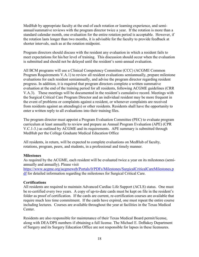MedHub by appropriate faculty at the end of each rotation or learning experience, and semiannual/summative reviews with the program director twice a year. If the rotation is more than a standard calendar month, one evaluation for the entire rotation period is acceptable. However, if the rotation lasts longer than two months, it is advisable for the faculty to provide feedback at shorter intervals, such as at the rotation midpoint.

Program directors should discuss with the resident any evaluation in which a resident fails to meet expectations for his/her level of training. This discussion should occur when the evaluation is submitted and should not be delayed until the resident's semi-annual evaluation.

All BCM programs will use a Clinical Competency Committee (CCC) (ACGME Common Program Requirements V.A.1) to review all resident evaluations semiannually, prepare milestone evaluations for each resident semiannually, and advise the program director regarding resident progress. In addition, it is required that program directors complete a written summative evaluation at the end of the training period for all residents, following ACGME guidelines (CRR V.A.3). These meetings will be documented in the resident's cumulative record. Meetings with the Surgical Critical Care Program Director and an individual resident may be more frequent in the event of problems or complaints against a resident, or whenever complaints are received from residents against an attending(s) or other residents. Residents shall have the opportunity to enter a written reply to all evaluations into their training files.

The program director must appoint a Program Evaluation Committee (PEC) to evaluate program curriculum at least annually to review and prepare an Annual Program Evaluation (APE) (CPR V.C.1-3.) as outlined by ACGME and its requirements. APE summary is submitted through MedHub per the College Graduate Medical Education Office

All residents, in return, will be expected to complete evaluations on MedHub of faculty, rotations, program, peers, and students, in a professional and timely manner.

#### **Milestones**

As required by the ACGME, each resident will be evaluated twice a year on its milestones (semiannually and annually). Please visit

[https://www.acgme.org/acgmeweb/Portals/0/PDFs/Milestones/SurgicalCriticalCareMilestones.p](https://www.acgme.org/acgmeweb/Portals/0/PDFs/Milestones/SurgicalCriticalCareMilestones.pdf) [df](https://www.acgme.org/acgmeweb/Portals/0/PDFs/Milestones/SurgicalCriticalCareMilestones.pdf) for detailed information regarding the milestones for Surgical Critical Care.

#### **Certifications**

All residents are required to maintain Advanced Cardiac Life Support (ACLS) status. One must be re-certified every two years. A copy of up-to-date cards must be kept on file in the resident's folder as proof of certification. If the cards are current, re-certification courses are available that require much less time commitment. If the cards have expired, one must repeat the entire course including lectures. Courses are available throughout the year at facilities in the Texas Medical Center.

Residents are also responsible for maintenance of their Texas Medical Board permit/license, along with DEA/DPS numbers if obtaining a full license. The Michael E. DeBakey Department of Surgery and its Surgery Education Office are not responsible for lapses in these licensures.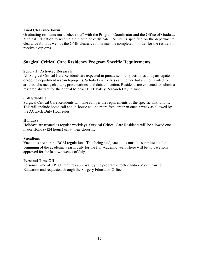#### <span id="page-19-0"></span>**Final Clearance Form**

Graduating residents must "check out" with the Program Coordinator and the Office of Graduate Medical Education to receive a diploma or certificate. All items specified on the departmental clearance form as well as the GME clearance form must be completed in order for the resident to receive a diploma.

## <span id="page-19-1"></span>**Surgical Critical Care Residency Program Specific Requirements**

#### **Scholarly Activity / Research**

All Surgical Critical Care Residents are expected to pursue scholarly activities and participate in on-going department research projects. Scholarly activities can include but are not limited to: articles, abstracts, chapters, presentations, and data collection. Residents are expected to submit a research abstract for the annual Michael E. DeBakey Research Day in June.

#### **Call Schedule**

Surgical Critical Care Residents will take call per the requirements of the specific institutions. This will include home call and in-house call no more frequent than once a week as allowed by the ACGME Duty Hour rules.

#### **Holidays**

Holidays are treated as regular workdays. Surgical Critical Care Residents will be allowed one major Holiday (24 hours) off at their choosing.

#### **Vacations**

Vacations are per the BCM regulations. That being said, vacations must be submitted at the beginning of the academic year in July for the full academic year. There will be no vacations approved for the last two weeks of July.

#### **Personal Time Off**

Personal Time off (PTO) requires approval by the program director and/or Vice Chair for Education and requested through the Surgery Education Office.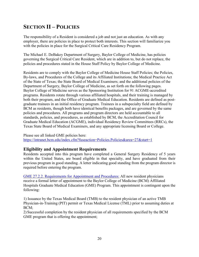# <span id="page-20-0"></span>**SECTION II – POLICIES**

The responsibility of a Resident is considered a job and not just an education. As with any employer, there are policies in place to protect both interests. This section will familiarize you with the policies in place for the Surgical Critical Care Residency Program.

The Michael E. DeBakey Department of Surgery, Baylor College of Medicine, has policies governing the Surgical Critical Care Resident, which are in addition to, but do not replace, the policies and procedures stated in the House Staff Policy by Baylor College of Medicine.

Residents are to comply with the Baylor College of Medicine House Staff Policies; the Policies, By-laws, and Procedures of the College and its Affiliated Institutions; the Medical Practice Act of the State of Texas; the State Board of Medical Examiners; and the additional policies of the Department of Surgery, Baylor College of Medicine, as set forth on the following pages. Baylor College of Medicine serves as the Sponsoring Institution for 91 ACGME-accredited programs. Residents rotate through various affiliated hospitals, and their training is managed by both their program, and the Office of Graduate Medical Education. Residents are defined as postgraduate trainees in an initial residency program. Trainees in a subspecialty field are defined by BCM as residents, though both have identical benefits packages, and are governed by the same policies and procedures. All programs and program directors are held accountable to all standards, policies, and procedures, as established by BCM, the Accreditation Council for Graduate Medical Education (ACGME), individual Residency Review Committees (RRCs), the Texas State Board of Medical Examiners, and any appropriate licensing Board or College.

Please see all linked GME policies here: <https://intranet.bcm.edu/index.cfm?fuseaction=Policies.Policies&area=27&start=1>

## <span id="page-20-1"></span>**Eligibility and Appointment Requirements**

Residents accepted into this program have completed a General Surgery Residency of 5 years within the United States, are board eligible in that specialty, and have graduated from their previous program in good standing. A letter indicating good standing from the program director is required before entering the program.

[GME 27.2.2. Requirements for Appointment and Procedures:](http://intranet.bcm.edu/index.cfm?fuseaction=Policies.Display_Policy&Policy_Number=27.2.2) All new resident physicians receive a formal letter of appointment to the Baylor College of Medicine (BCM) Affiliated Hospitals Graduate Medical Education (GME) Program. This appointment is contingent upon the following:

1) Issuance by the Texas Medical Board (TMB) to the resident physician of an active TMB Physician-in-Training (PIT) permit or Texas Medical License (TML) prior to assuming duties at BCM;

2) Successful completion by the resident physician of all requirements specified by the BCM GME program that is offering the appointment;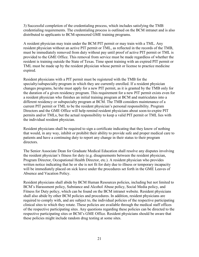3) Successful completion of the credentialing process, which includes satisfying the TMB credentialing requirements. The credentialing process is outlined on the BCM intranet and is also distributed to applicants to BCM-sponsored GME training programs.

A resident physician may train under the BCM PIT permit or may train with a TML. Any resident physician without an active PIT permit or TML, as reflected in the records of the TMB, must be immediately removed from duty without pay until proof of active PIT permit or TML is provided to the GME Office. This removal from service must be made regardless of whether the resident is training outside the State of Texas. Time spent training with an expired PIT permit or TML must be made up by the resident physician whose permit or license to practice medicine expired.

Resident physicians with a PIT permit must be registered with the TMB for the specialty/subspecialty program in which they are currently enrolled. If a resident physician changes programs, he/she must apply for a new PIT permit, as it is granted by the TMB only for the duration of a given residency program. This requirement for a new PIT permit exists even for a resident physician who finishes an initial training program at BCM and matriculates into a different residency or subspecialty program at BCM. The TMB considers maintenance of a current PIT permit or TML to be the resident physician's personal responsibility. Program Directors and the GME Office will help remind resident physicians about soon-to-expire PIT permits and/or TMLs, but the actual responsibility to keep a valid PIT permit or TML lies with the individual resident physician.

Resident physicians shall be required to sign a certificate indicating that they know of nothing that would, in any way, inhibit or prohibit their ability to provide safe and proper medical care to patients and have a continuing duty to report any change in their status to their program directors.

The Senior Associate Dean for Graduate Medical Education shall resolve any disputes involving the resident physician's fitness for duty (e.g. disagreements between the resident physician, Program Director, Occupational Health Director, etc.). A resident physician who provides written notice indicating that he or she is not fit for duty due to illness or temporary incapacity will be immediately placed on sick leave under the procedures set forth in the GME Leaves of Absence and Vacation Policy.

Resident physicians shall abide by BCM Human Resources policies, including but not limited to BCM's Harassment policy, Substance and Alcohol Abuse policy, Social Media policy, and Fitness for Duty policy, which can be found on the BCM intranet website. Resident physicians shall also abide by other BCM policies and procedures. In addition, resident physicians are required to comply with, and are subject to, the individual policies of the respective participating clinical sites to which they rotate. These policies are available through the medical staff offices of the respective participating sites. Any questions regarding these policies can be directed to the respective participating sites or BCM's GME Office. Resident physicians should be aware that these policies might include random drug testing at some sites.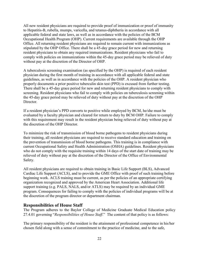All new resident physicians are required to provide proof of immunization or proof of immunity to Hepatitis-B, rubella, mumps, varicella, and tetanus-diphtheria in accordance with all applicable federal and state laws, as well as in accordance with the policies of the BCM Occupational Health Program (OHP). Current requirements are available through the OHP Office. All returning resident physicians are required to remain current with immunizations as stipulated by the OHP Office. There shall be a 45-day grace period for new and returning resident physicians to obtain any required immunizations. Resident physicians who fail to comply with policies on immunizations within the 45-day grace period may be relieved of duty without pay at the discretion of the Director of OHP.

A tuberculosis screening examination (as specified by the OHP) is required of each resident physician during the first month of training in accordance with all applicable federal and state guidelines, as well as in accordance with the policies of the OHP. A resident physician who properly documents a prior positive tuberculin skin test (PPD) is excused from further testing. There shall be a 45-day grace period for new and returning resident physicians to comply with screening. Resident physicians who fail to comply with policies on tuberculosis screening within the 45-day grace period may be relieved of duty without pay at the discretion of the OHP Director.

If a resident physician's PPD converts to positive while employed by BCM, he/she must be evaluated by a faculty physician and cleared for return to duty by BCM OHP. Failure to comply with this requirement may result in the resident physician being relieved of duty without pay at the discretion of the OHP Director.

To minimize the risk of transmission of blood borne pathogens to resident physicians during their training, all resident physicians are required to receive standard education and training on the prevention of transmission of blood borne pathogens. This training is in compliance with current Occupational Safety and Health Administration (OSHA) guidelines. Resident physicians who do not comply with the requisite training within 14 days of the start date of training may be relieved of duty without pay at the discretion of the Director of the Office of Environmental Safety.

All resident physicians are required to obtain training in Basic Life Support (BLS), Advanced Cardiac Life Support (ACLS), and to provide the GME Office with proof of such training before beginning work. ACLS training must be current, as per the policies of an appropriate certifying organization recognized and approved by the American Heart Association. Additional life support training (e.g. PALS, NALS, and/or ATLS) may be required by an individual GME program. Consequences for failing to comply with the policies of individual programs will be at the discretion of the program director or department chairman.

## <span id="page-22-0"></span>**Responsibilities of House Staff**

The Program adheres to the Baylor College of Medicine Graduate Medical Education policy 27.4.01 governing "*Responsibilities of House Staff*." The content of that policy is as follows:

The primary responsibility of the resident is the attainment of professional competence in his/her chosen field along with a sense of commitment to the practice of medicine, and to the safe,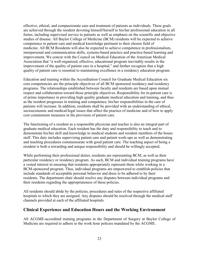effective, ethical, and compassionate care and treatment of patients as individuals. These goals are achieved through the resident devoting himself/herself to his/her professional education in all forms, including supervised service to patients as well as emphasis on the scientific and objective studies of disease. All Baylor College of Medicine (BCM) residents will be expected to achieve competence in patient care and medical knowledge pertinent to their chosen field of medicine. All BCM Residents will also be expected to achieve competence in professionalism, interpersonal and communication skills, systems-based practice and practice-based learning and improvement. We concur with the Council on Medical Education of the American Medical Association that "a well-organized, effective, educational program inevitably results in the improvement of the quality of patient care in a hospital," and further recognize that a high quality of patient care is essential to maintaining excellence in a residency education program.

Education and training within the Accreditation Council for Graduate Medical Education six core competencies are the principle objectives of all BCM sponsored residency and residency programs. The relationships established between faculty and residents are based upon mutual respect and collaboration toward those principle objectives. Responsibility for in-patient care is of prime importance in providing high quality graduate medical education and training, and thus as the resident progresses in training and competence, his/her responsibilities in the care of patients will increase. In addition, residents shall be provided with an understanding of ethical, socioeconomic and medical/legal issues that affect the practice of medicine and of how to apply cost containment measures in the provision of patient care.

The functioning of a resident as a responsible physician and teacher is also an integral part of graduate medical education. Each resident has the duty and responsibility to teach and to demonstrate his/her skill and knowledge to medical students and resident members of the house staff. This duty includes supervising patient care and patient work-ups as well as demonstrating and teaching procedures commensurate with good patient care. The teaching aspect of being a resident is both a rewarding and unique responsibility and should be willingly accepted.

While performing their professional duties, residents are representing BCM, as well as their particular residency or residency program. As such, BCM and individual training programs have a vested interest in ensuring that residents appropriately represent them while working in a BCM-sponsored program. Thus, individual programs are empowered to establish policies that include standards of acceptable personal behavior and dress to be adhered to by their residents. The department chair should resolve any disputes between individual programs and their residents regarding the appropriateness of these policies.

All residents should abide by the policies, procedures and rules of the respective affiliated hospitals to which they are assigned. Any disputes should be resolved through the medical staff channels provided at each of the affiliated hospitals.

## <span id="page-23-0"></span>**Clinical Experience and Education Hours and the Working Environment**

All ACGME-accredited training programs in the Department of Surgery at Baylor College of Medicine are required to adhere to the work hour policies mandated by the ACGME.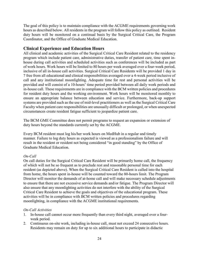The goal of this policy is to maintain compliance with the ACGME requirements governing work hours as described below. All residents in the program will follow this policy as outlined. Resident duty hours will be monitored on a continual basis by the Surgical Critical Care, the Program Coordinator, and the Office of Graduate Medical Education.

## <span id="page-24-0"></span>**Clinical Experience and Education Hours**

All clinical and academic activities of the Surgical Critical Care Resident related to the residency program which include patient care, administrative duties, transfer of patient care, time spent inhouse during call activities and scheduled activities such as conferences will be included as part of work hours. Work hours will be limited to 80 hours per week averaged over a four-week period, inclusive of all in-house call activities. Surgical Critical Care Residents will be provided 1 day in 7 free from all educational and clinical responsibilities averaged over a 4-week period inclusive of call and any institutional moonlighting. Adequate time for rest and personal activities will be provided and will consist of a 10-hours' time period provided between all daily work periods and in-house call. These requirements are in compliance with the BCM written policies and procedures for resident duty hours and the working environment. Work hours will be monitored monthly to ensure an appropriate balance between education and service. Furthermore, back-up support systems are provided such as the use of mid-level practitioners as well as the Surgical Critical Care Faculty when patient care responsibilities are unusually difficult or prolonged, or when unexpected circumstances create resident fatigue sufficient to jeopardize patient care.

The BCM GME Committee does not permit programs to request an expansion or extension of duty hours beyond the standards currently set by the ACGME.

Every BCM resident must log his/her work hours on MedHub in a regular and timely manner. Failure to log duty hours as expected is viewed as a professionalism failure and will result in the resident or resident not being considered "in good standing" by the Office of Graduate Medical Education.

## *On-Call*

On call duties for the Surgical Critical Care Resident will be primarily home call, the frequency of which will not be so frequent as to preclude rest and reasonable personal time for each resident (as depicted above). When the Surgical Critical Care Resident is called into the hospital from home, the hours spent in-house will be counted toward the 80-hours limit. The Program Director will monitor the demands of at-home call and will make necessary schedule adjustments to ensure that there are not excessive service demands and/or fatigue. The Program Director will also ensure that any moonlighting activities do not interfere with the ability of the Surgical Critical Care Resident to achieve the goals and objectives of the educational program. These activities will be in compliance with BCM written policies and procedures regarding moonlighting, in compliance with the ACGME institutional requirements.

## *On-Call Activities*

- 1. In-house call cannot occur more frequently than every third night, averaged over a fourweek period.
- 2. Continuous on-site work, including in-house call, must not exceed 24 consecutive hours. Residents may remain on duty for up to six additional hours to participate in didactic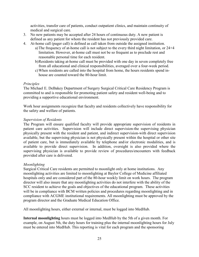activities, transfer care of patients, conduct outpatient clinics, and maintain continuity of medical and surgical care.

- 3. No new patients may be accepted after 24 hours of continuous duty. A new patient is defined as any patient for whom the resident has not previously provided care.
- 4. At-home call (pager call) is defined as call taken from outside the assigned institution.
	- a)The frequency of at-home call is not subject to the every third night limitation, or 24+4 limitation. However, at-home call must not be so frequent as to preclude rest and reasonable personal time for each resident.
	- b)Residents taking at-home call must be provided with one day in seven completely free from all educational and clinical responsibilities, averaged over a four-week period.
	- c)When residents are called into the hospital from home, the hours residents spend inhouse are counted toward the 80-hour limit.

#### *Principles*

The Michael E. DeBakey Department of Surgery Surgical Critical Care Residency Program is committed to and is responsible for promoting patient safety and resident well-being and to providing a supportive educational environment.

Work hour assignments recognize that faculty and residents collectively have responsibility for the safety and welfare of patients.

#### *Supervision of Residents*

The Program will ensure qualified faculty will provide appropriate supervision of residents in patient care activities. Supervision will include direct supervision-the supervising physician physically present with the resident and patient, and indirect supervision-with direct supervision available, but the supervising physician is not physically present within the hospital or other site of patient care, but is immediately available by telephone and/or electronic modalities, and is available to provide direct supervision. In addition, oversight is also provided where the supervising physician is available to provide review of procedures/encounters with feedback provided after care is delivered.

#### *Moonlighting*

Surgical Critical Care residents are permitted to moonlight only at home institutions. Any moonlighting activities are limited to moonlighting at Baylor College of Medicine affiliated hospitals only and are considered part of the 80-hour weekly limit on work hours. The program director will also insure that any moonlighting activities do not interfere with the ability of the SCC resident to achieve the goals and objectives of the educational program. These activities will be in compliance with BCM written policies and procedures regarding moonlighting and in compliance with ACGME institutional requirements. All moonlighting must be approved by the program director and the Graduate Medical Education Office.

All moonlighting hours, either external or internal, must be logged into MedHub.

**Internal moonlighting** hours must be logged into MedHub by the 5th of a given month. For example, on August 5th, the duty hours for training plus the internal moonlighting hours for July must be entered into MedHub. This reporting is vital for each program and the sponsoring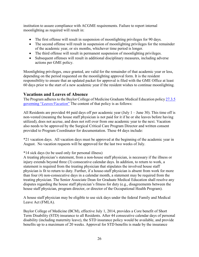institution to assure compliance with ACGME requirements. Failure to report internal moonlighting as required will result in:

- The first offense will result in suspension of moonlighting privileges for 90 days.
- The second offense will result in suspension of moonlighting privileges for the remainder of the academic year, or six months, whichever time period is longer.
- The third offense will result in permanent suspension of moonlighting privileges.
- Subsequent offenses will result in additional disciplinary measures, including adverse actions per GME policy.

Moonlighting privileges, once granted, are valid for the remainder of that academic year or less, depending on the period requested on the moonlighting approval form. It is the resident responsibility to ensure that an updated packet for approval is filed with the GME Office at least 60 days prior to the start of a new academic year if the resident wishes to continue moonlighting.

## <span id="page-26-0"></span>**Vacations and Leaves of Absence**

The Program adheres to the Baylor College of Medicine Graduate Medical Education policy [27.3.5](http://intranet.bcm.edu/index.cfm?fuseaction=Policies.Display_Policy&Policy_Number=27.3.5)  governing "*[Leaves/Vacation](http://intranet.bcm.edu/index.cfm?fuseaction=Policies.Display_Policy&Policy_Number=27.3.5)*" The content of that policy is as follows:

All Residents are provided 44 paid days off per academic year (July 1 – June 30). This time off is non-vested (meaning the house staff physician is not paid for it if he or she leaves before having utilized), does not accrue, and does not roll over from one academic year to the next. Vacation also needs to be approved by the Surgical Critical Care Program Director and written consent provided to Program Coordinator for documentation. These 44 days include:

\*21 vacation days. All vacation days must be approved at the beginning of the academic year in August. No vacation requests will be approved for the last two weeks of July.

## \*14 sick days (to be used only for personal illness)

A treating physician's statement, from a non-house staff physician, is necessary if the illness or injury extends beyond three (3) consecutive calendar days. In addition, to return to work, a statement is required from the treating physician that stipulates the involved house staff physician is fit to return to duty. Further, if a house-staff physician is absent from work for more than four (4) non-consecutive days in a calendar month, a statement may be required from the treating physician. The Senior Associate Dean for Graduate Medical Education shall resolve any disputes regarding the house staff physician's fitness for duty (e.g., disagreements between the house staff physician, program director, or director of the Occupational Health Program).

A house staff physician may be eligible to use sick days under the federal Family and Medical Leave Act (FMLA).

Baylor College of Medicine (BCM), effective July 1, 2014, provides a Core benefit of Short Term Disability (STD) insurance to all Residents. After 44 consecutive calendar days of personal disability (including maternity leave), the STD insurance policy would be available, and provide benefits up to a maximum of 20 weeks. Approval for STD benefits is made by the insurance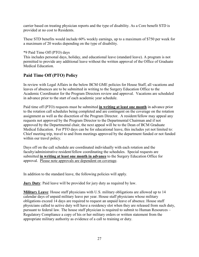carrier based on treating physician reports and the type of disability. As a Core benefit STD is provided at no cost to Residents.

These STD benefits would include 60% weekly earnings, up to a maximum of \$750 per week for a maximum of 20 weeks depending on the type of disability.

#### \*9 Paid Time Off (PTO) days

This includes personal days, holiday, and educational leave (standard leave). A program is not permitted to provide any additional leave without the written approval of the Office of Graduate Medical Education.

## <span id="page-27-0"></span>**Paid Time Off (PTO) Policy**

In review with Legal Affairs in the below BCM GME policies for House Staff, all vacations and leaves of absences are to be submitted in writing to the Surgery Education Office to the Academic Coordinator for the Program Directors review and approval. Vacations are scheduled in advance prior to the start of each academic year schedule.

Paid time off (PTO) requests must be submitted **in writing at least one month** in advance prior to the rotation call schedules being completed and are contingent on the coverage on the rotation assignment as well as the discretion of the Program Director. A resident/fellow may appeal any requests not approved by the Program Director to the Departmental Chairman and if not approved by the Departmental chair, the next appeal will be to the Dean of BCM Graduate Medical Education. For PTO days can be for educational leave, this includes yet not limited to: Chief meeting trip, travel to and from meetings approved by the department funded or not funded within our travel policy.

Days off on the call schedule are coordinated individually with each rotation and the faculty/administrative resident/fellow coordinating the schedules. Special requests are submitted **in writing at least one month in advance** to the Surgery Education Office for approval. Please note approvals are dependent on coverage.

In addition to the standard leave, the following policies will apply.

**Jury Duty**: Paid leave will be provided for jury duty as required by law.

**Military Leave**: House staff physicians with U.S. military obligations are allowed up to 14 calendar days of unpaid military leave per year. House staff physicians whose military obligations exceed 14 days are required to request an unpaid leave of absence. House staff physicians called to active duty will have a residency slot when they are released from such duty, pursuant to federal law. The house staff physician is required to submit to Human Resources – Regulatory Compliance a copy of his or her military orders or written statement from the appropriate military authority as evidence of a call to training or duty.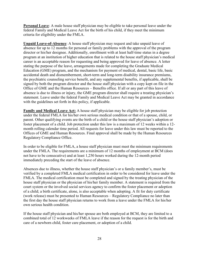**Personal Leave**: A male house staff physician may be eligible to take personal leave under the federal Family and Medical Leave Act for the birth of his child, if they meet the minimum criteria for eligibility under the FMLA.

**Unpaid Leave-of-Absence**: A house staff physician may request and take unpaid leave of absence for up to 12 months for personal or family problems with the approval of the program director or his/her designee. Additionally, enrollment with at least half-time status in a degree program at an institution of higher education that is related to the house staff physician's medical career is an acceptable reason for requesting and being approved for leave of absence. A letter stating the purpose of the leave, arrangements made for completing the Graduate Medical Education (GME) program, and the mechanism for payment of medical, dental, basic life, basic accidental death and dismemberment, short-term and long-term disability insurance premiums, the psychiatric counseling service benefit, and any supplemental benefits, if applicable, shall be signed by both the program director and the house staff physician with a copy kept on file in the Office of GME and the Human Resources – Benefits office. If all or any part of this leave of absence is due to illness or injury, the GME program director shall require a treating physician's statement. Leave under the federal Family and Medical Leave Act may be granted in accordance with the guidelines set forth in this policy, if applicable.

**Family and Medical Leave Act:** A house staff physician may be eligible for job protection under the federal FMLA for his/her own serious medical condition or that of a spouse, child, or parent. Other qualifying events are the birth of a child or the house staff physician's adoption or foster placement of a child. Job protection under this law is a maximum of 12 weeks within a 12 month rolling calendar time period. All requests for leave under this law must be reported to the Offices of GME and Human Resources. Final approval shall be made by the Human Resources Regulatory Compliance Office.

In order to be eligible for FMLA, a house staff physician must meet the minimum requirements under the FMLA. The requirements are a minimum of 12 months of employment at BCM (does not have to be consecutive) and at least 1,250 hours worked during the 12-month period immediately preceding the start of the leave of absence.

Absences due to illness, whether the house staff physician's or a family member's, must be verified by a completed FMLA medical certification in order to be considered for leave under the FMLA. The medical certification must be completed and signed by the treating physician of the house staff physician or the physician of his/her family member. A statement is required from the court system or the involved social services agency to confirm the foster placement or adoption of a child; a birth certificate, alone, is also acceptable when adopting. A fit for duty certificate (work release) must be presented to Human Resources – Regulatory Compliance no later than the first day the house staff physician returns to work from a leave under the FMLA for his/her own serious health condition.

If the house staff physician and his/her spouse are both employed at BCM, they are limited to a combined total of 12 workweeks of FMLA leave if the reason for the request is for the birth and care of a newborn child, foster care placement, or adoption of a child.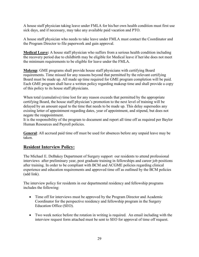A house staff physician taking leave under FMLA for his/her own health condition must first use sick days, and if necessary, may take any available paid vacation and PTO.

A house staff physician who needs to take leave under FMLA must contact the Coordinator and the Program Director to file paperwork and gain approval.

**Medical Leave:** A house staff physician who suffers from a serious health condition including the recovery period due to childbirth may be eligible for Medical leave if her/she does not meet the minimum requirements to be eligible for leave under the FMLA.

**Makeup**: GME programs shall provide house staff physicians with certifying Board requirements. Time missed for any reasons beyond that permitted by the relevant certifying Board must be made up. All made up time required for GME program completion will be paid. Each GME program shall have a written policy regarding makeup time and shall provide a copy of this policy to its house staff physicians.

When total (cumulative) time lost for any reason exceeds that permitted by the appropriate certifying Board, the house staff physician's promotion to the next level of training will be delayed by an amount equal to the time that needs to be made up. This delay supersedes any existing letter of appointment regarding dates, year of appointment, and stipend, but does not negate the reappointment.

It is the responsibility of the program to document and report all time off as required per Baylor Human Resources and Payroll policies.

**General**: All accrued paid time off must be used for absences before any unpaid leave may be taken.

## <span id="page-29-0"></span>**Resident Interview Policy:**

The Michael E. DeBakey Department of Surgery support our residents to attend professional interviews after preliminary year, post graduate training in fellowships and career job positions after training. In order to be compliant with BCM and ACGME policies regarding clinical experience and education requirements and approved time off as outlined by the BCM policies (add link).

The interview policy for residents in our departmental residency and fellowship programs includes the following:

- Time off for interviews must be approved by the Program Director and Academic Coordinator for the perspective residency and fellowship program in the Surgery Education Office (SEO).
- Two week notice before the rotation in writing is required. An email including with the interview request form attached must be sent to SEO for approval of time off request.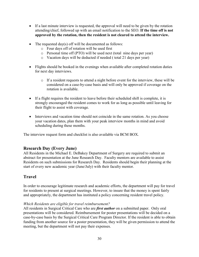- If a last minute interview is requested, the approval will need to be given by the rotation attending/chief, followed up with an email notification to the SEO. **If the time off is not approved by the rotation, then the resident is not cleared to attend the interview.**
- The requested day(s) off will be documented as follows:
	- o Four days off of rotation will be used first
	- o Personal time off (PTO) will be used next (total nine days per year)
	- o Vacation days will be deducted if needed ( total 21 days per year)
- Flights should be booked in the evenings when available after completed rotation duties for next day interviews.
	- o If a resident requests to attend a night before event for the interview, these will be considered on a case-by-case basis and will only be approved if coverage on the rotation is available.
- If a flight requires the resident to leave before their scheduled shift is complete, it is strongly encouraged the resident comes to work for as long as possible until leaving for their flight to assist with coverage.
- Interviews and vacation time should not coincide in the same rotation. As you choose your vacation dates, plan them with your peak interview months in mind and avoid scheduling during these months.

The interview request form and checklist is also available via BCM BOX.

## <span id="page-30-0"></span>**Research Day (Every June)**

All Residents in the Michael E. DeBakey Department of Surgery are required to submit an abstract for presentation at the June Research Day. Faculty mentors are available to assist Residents on such submissions for Research Day. Residents should begin their planning at the start of every new academic year (June/July) with their faculty mentor.

## <span id="page-30-1"></span>**Travel**

In order to encourage legitimate research and academic efforts, the department will pay for travel for residents to present at surgical meetings. However, to insure that the money is spent fairly and appropriately, the department has instituted a policy concerning resident travel policy.

## *Which Residents are eligible for travel reimbursement?*

All residents in Surgical Critical Care who are *first author* on a submitted paper. Only oral presentations will be considered. Reimbursement for poster presentations will be decided on a case-by-case basis by the Surgical Critical Care Program Director. If the resident is able to obtain funding from another source for a poster presentation, they will be given permission to attend the meeting, but the department will not pay their expenses.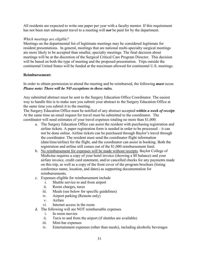All residents are expected to write one paper per year with a faculty mentor. If this requirement has not been met subsequent travel to a meeting will *not* be paid for by the department.

#### *Which meetings are eligible?*

Meetings on the departmental list of legitimate meetings may be considered legitimate for resident presentations. In general, meetings that are national multi-specialty surgical meetings are more likely to be accepted than smaller, specialty meetings. The final decision about meetings will be at the discretion of the Surgical Critical Care Program Director. This decision will be based on both the type of meeting and the proposed presentation. Trips outside the continental United States will be funded at the maximum allowed for continental U.S. meetings.

#### **Reimbursement:**

In order to obtain permission to attend the meeting and be reimbursed, the following *must* occur. *Please note: There will be NO exceptions to these rules.*

Any submitted abstract must be sent to the Surgery Education Office Coordinator. The easiest way to handle this is to make sure you submit your abstract to the Surgery Education Office at the same time you submit it to the meeting.

The Surgery Education Office must be notified of any abstract accepted *within a week of receipt*. At the same time an email request for travel must be submitted to the coordinator. The coordinator will need estimates of your travel expenses totaling no more than \$1,000.

- a. The Surgery Education Office can assist the resident with purchasing registration and airline tickets. A paper registration form is needed in order to be processed – it can not be done online. Airline tickets can be purchased through Baylor's travel through the coordinator. The resident must send the coordinator flight information (date/time/airline) for the flight, and the coordinator can assist in booking. Both the registration and airline still comes out of the \$1,000 reimbursement limit.
- b. No reimbursement for expenses will be made without receipts. Baylor College of Medicine requires a copy of your hotel invoice (showing a \$0 balance) and your airfare invoice, credit card statement, and/or cancelled checks for any payments made on this trip, as well as a copy of the front cover of the program brochure (listing conference name, location, and dates) as supporting documentation for reimbursements.
- c. Expenses eligible for reimbursement include
	- i. Shuttle service to and from airport
	- ii. Room charges, taxes
	- iii. Meals (see below for specific guidelines)
	- iv. Airport parking (Remote only)
	- v. Airfare
	- vi. Internet access in the room
- d. The following will are NOT reimbursable expenses
	- i. In room movies
	- ii. Taxis to and from the airport (if shuttles are available)
	- iii. Mini-bar expenses
	- iv. Entertainment expenses (other than meals), including alcoholic beverages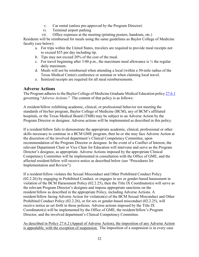- v. Car rental (unless pre-approved by the Program Director)
- vi. Terminal airport parking
- vii. Office expenses at the meeting (printing posters, handouts, etc.)

Residents will be reimbursed for meals using the same guidelines as Baylor College of Medicine faculty (see below):

- a. For trips within the United States, travelers are required to provide meal receipts not to exceed \$55 per day including tip.
- b. Tips may not exceed 20% of the cost of the meal.
- c. For travel beginning after  $3:00$  p.m., the maximum meal allowance is  $\frac{1}{2}$  the regular daily maximum.
- d. Meals will not be reimbursed when attending a local (within a 50-mile radius of the Texas Medical Center) conference or seminar or when claiming local travel.
- e. Itemized receipts are required for all meal reimbursements.

## <span id="page-32-0"></span>**Adverse Actions**

The Program adheres to the Baylor College of Medicine Graduate Medical Education policy [27.6.1](https://intranet.bcm.edu/index.cfm?fuseaction=Policies.Display_Policy&Policy_Number=27.6.1) governing "*Adverse Actions*." The content of that policy is as follows:

A resident/fellow exhibiting academic, clinical, or professional behavior not meeting the standards of his/her program, Baylor College of Medicine (BCM), any of BCM's affiliated hospitals, or the Texas Medical Board (TMB) may be subject to an Adverse Action by the Program Director or designee. Adverse actions will be implemented as described in this policy.

If a resident/fellow fails to demonstrate the appropriate academic, clinical, professional or other skills necessary to continue in a BCM GME program, then he or she may face Adverse Action at the discretion of the involved department's Clinical Competency Committee, upon recommendation of the Program Director or designee. In the event of a Conflict of Interest, the relevant Department Chair or Vice Chair for Education will intervene and serve as the Program Director's designee, as appropriate. Adverse Actions imposed by the appropriate Clinical Competency Committee will be implemented in consultation with the Office of GME, and the affected resident/fellow will receive notice as described below (see "Procedures for Implementation and Review").

If a resident/fellow violates the Sexual Misconduct and Other Prohibited Conduct Policy (02.2.26) by engaging in Prohibited Conduct, or engages in sex or gender-based harassment in violation of the BCM Harassment Policy (02.2.25), then the Title IX Coordinator(s) will serve as the relevant Program Director's designee and impose appropriate sanctions on the resident/fellow as described in the appropriate Policy, including Adverse Actions. A resident/fellow facing Adverse Action for violation(s) of the BCM Sexual Misconduct and Other Prohibited Conduct Policy (02.2.26), or for sex or gender-based misconduct (02.2.25), will receive notice as set forth in those policies. Adverse actions imposed by the Title IX Coordinator(s) will be implemented by the Office of GME, the resident/fellow's Program Director, and the involved department's Clinical Competency Committee.

As described in Policy 27.6.2 (Appeal of Adverse Action), the imposition of any Adverse Action is appealable, with the exception of suspension. The imposition of a suspension is in every case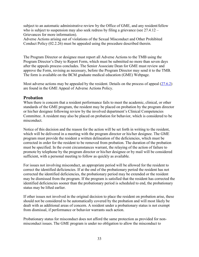subject to an automatic administrative review by the Office of GME, and any resident/fellow who is subject to suspension may also seek redress by filing a grievance (see 27.4.12 – Grievances for more information).

Adverse Actions arising out of violations of the Sexual Misconduct and Other Prohibited Conduct Policy (02.2.26) must be appealed using the procedure described therein.

The Program Director or designee must report all Adverse Actions to the TMB using the Program Director's Duty to Report Form, which must be submitted no more than seven days after the appeals process concludes. The Senior Associate Dean for GME must review and approve the Form, revising as necessary, before the Program Director may send it to the TMB. The form is available on the BCM graduate medical education (GME) Webpage.

Most adverse actions may be appealed by the resident. Details on the process of appeal [\(27.6.2\)](https://intranet.bcm.edu/index.cfm?fuseaction=Policies.Display_Policy&Policy_Number=27.6.2) are found in the GME Appeal of Adverse Actions Policy.

## <span id="page-33-0"></span>**Probation**

When there is concern that a resident performance fails to meet the academic, clinical, or other standards of the GME program, the resident may be placed on probation by the program director or his/her designee following review by the involved department's Clinical Competencies Committee. A resident may also be placed on probation for behavior, which is considered to be misconduct.

Notice of this decision and the reason for the action will be set forth in writing to the resident, which will be delivered in a meeting with the program director or his/her designee. The GME program must provide the resident a written delineation of the deficiencies, which must be corrected in order for the resident to be removed from probation. The duration of the probation must be specified. In the event circumstances warrant, the relaying of the action of failure to promote by telephone by the program director or his/her designee or by mail will be considered sufficient, with a personal meeting to follow as quickly as available.

For issues not involving misconduct, an appropriate period will be allowed for the resident to correct the identified deficiencies. If at the end of the probationary period the resident has not corrected the identified deficiencies, the probationary period may be extended or the resident may be dismissed from the program. If the program is satisfied that the resident has corrected the identified deficiencies sooner than the probationary period is scheduled to end, the probationary status may be lifted earlier.

If other issues not involved in the original decision to place the resident on probation arise, these should not be considered to be automatically covered by the probation and will most likely be dealt with as additional areas of concern. A resident under a probationary status is not exempt from dismissal, if performance or behavior warrants such action.

Probationary status for misconduct does not afford the same protection as provided for nonmisconduct issues. The GME program is under no obligation to allow the misconduct to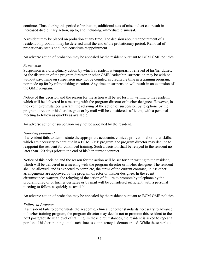continue. Thus, during this period of probation, additional acts of misconduct can result in increased disciplinary action, up to, and including, immediate dismissal.

A resident may be placed on probation at any time. The decision about reappointment of a resident on probation may be deferred until the end of the probationary period. Removal of probationary status shall not constitute reappointment.

An adverse action of probation may be appealed by the resident pursuant to BCM GME policies.

#### *Suspension*

Suspension is a disciplinary action by which a resident is temporarily relieved of his/her duties. At the discretion of the program director or other GME leadership, suspension may be with or without pay. Time on suspension may not be counted as creditable time in a training program, nor made up for by relinquishing vacation. Any time on suspension will result in an extension of the GME program.

Notice of this decision and the reason for the action will be set forth in writing to the resident, which will be delivered in a meeting with the program director or his/her designee. However, in the event circumstances warrant, the relaying of the action of suspension by telephone by the program director or his/her designee or by mail will be considered sufficient, with a personal meeting to follow as quickly as available.

An adverse action of suspension may not be appealed by the resident.

#### *Non-Reappointment*

If a resident fails to demonstrate the appropriate academic, clinical, professional or other skills, which are necessary to continue in a BCM GME program, the program director may decline to reappoint the resident for continued training. Such a decision shall be relayed to the resident no later than 120 days prior to the end of his/her current contract.

Notice of this decision and the reason for the action will be set forth in writing to the resident, which will be delivered in a meeting with the program director or his/her designee. The resident shall be allowed, and is expected to complete, the terms of the current contract, unless other arrangements are approved by the program director or his/her designee. In the event circumstances warrant, the relaying of the action of failure to promote by telephone by the program director or his/her designee or by mail will be considered sufficient, with a personal meeting to follow as quickly as available.

An adverse action of probation may be appealed by the resident pursuant to BCM GME policies.

#### *Failure to Promote*

If a resident fails to demonstrate the academic, clinical, or other standards necessary to advance in his/her training program, the program director may decide not to promote this resident to the next postgraduate year level of training. In these circumstances, the resident is asked to repeat a portion of his/her training, until such time as competency is demonstrated. While these periods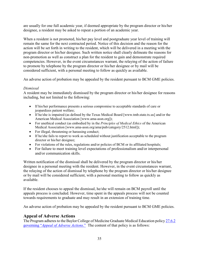are usually for one full academic year, if deemed appropriate by the program director or his/her designee, a resident may be asked to repeat a portion of an academic year.

When a resident is not promoted, his/her pay level and postgraduate year level of training will remain the same for the next contracted period. Notice of this decision and the reason for the action will be set forth in writing to the resident, which will be delivered in a meeting with the program director or his/her designee. Such written notice shall clearly delineate the reasons for non-promotion as well as construct a plan for the resident to gain and demonstrate required competencies. However, in the event circumstances warrant, the relaying of the action of failure to promote by telephone by the program director or his/her designee or by mail will be considered sufficient, with a personal meeting to follow as quickly as available.

An adverse action of probation may be appealed by the resident pursuant to BCM GME policies.

## *Dismissal*

A resident may be immediately dismissed by the program director or his/her designee for reasons including, but not limited to the following:

- If his/her performance presents a serious compromise to acceptable standards of care or jeopardizes patient welfare;
- If he/she is impaired (as defined by the Texas Medical Board [www.tmb.state.tx.us] and/or the American Medical Association [www.ama-assn.org]);
- For unethical conduct (as embodied by in the *Principles of Medical Ethics* of the American Medical Association [www.ama-assn.org/ama/pub/category/2512.html]);
- For illegal, threatening or harassing conduct;
- If he/she fails to report to work as scheduled without justification acceptable to the program director or his/her designee;
- For violations of the rules, regulations and/or policies of BCM or its affiliated hospitals;
- For failure to meet training level expectations of professionalism and/or interpersonal and/or communication skills.

Written notification of the dismissal shall be delivered by the program director or his/her designee in a personal meeting with the resident. However, in the event circumstances warrant, the relaying of the action of dismissal by telephone by the program director or his/her designee or by mail will be considered sufficient, with a personal meeting to follow as quickly as available.

If the resident chooses to appeal the dismissal, he/she will remain on BCM payroll until the appeals process is concluded. However, time spent in the appeals process will not be counted towards requirements to graduate and may result in an extension of training time.

An adverse action of probation may be appealed by the resident pursuant to BCM GME policies.

## <span id="page-35-0"></span>**Appeal of Adverse Actions**

The Program adheres to the Baylor College of Medicine Graduate Medical Education policy [27.6.2](http://intranet.bcm.edu/index.cfm?fuseaction=Policies.Display_Policy&Policy_Number=27.6.2) governing "*Appeal of [Adverse Actions](http://intranet.bcm.edu/index.cfm?fuseaction=Policies.Display_Policy&Policy_Number=27.6.2)*." The content of that policy is as follows: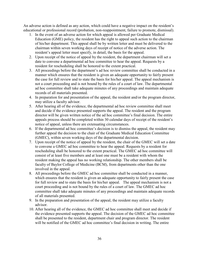An adverse action is defined as any action, which could have a negative impact on the resident's educational or professional record (probation, non-reappointment, failure to promote, dismissal).

- 1. In the event of an adverse action for which appeal is allowed per Graduate Medical Education (GME) policy, the resident has the right to appeal such action to the chairman of his/her department. This appeal shall be by written letter and must be delivered to the chairman within seven working days of receipt of notice of the adverse action. The resident's appeal letter must specify, in detail, the basis for the appeal.
- 2. Upon receipt of the notice of appeal by the resident, the department chairman will set a date to convene a departmental ad hoc committee to hear the appeal. Requests by a resident for rescheduling shall be honored to the extent practical.
- 3. All proceedings before the department's ad hoc review committee shall be conducted in a manner which ensures that the resident is given an adequate opportunity to fairly present the case for full review and to state the basis for his/her appeal. The appeal mechanism is not a court proceeding and is not bound by the rules of a court of law. The departmental ad hoc committee shall take adequate minutes of any proceedings and maintain adequate records of all materials presented.
- 4. In preparation for and presentation of the appeal, the resident and/or the program director, may utilize a faculty advisor.
- 5. After hearing all of the evidence, the departmental ad hoc review committee shall meet and decide if the evidence presented supports the appeal. The resident and the program director will be given written notice of the ad hoc committee's final decision. The entire appeals process should be completed within 30 calendar days of receipt of the resident's notice of appeal, unless there are extenuating circumstances.
- 6. If the departmental ad hoc committee's decision is to dismiss the appeal, the resident may further appeal the decision to the chair of the Graduate Medical Education Committee (GMEC), within seven working days of the departmental decision.
- 7. Upon receipt of the notice of appeal by the resident, the chair of the GMEC will set a date to convene a GMEC ad hoc committee to hear the appeal. Requests by a resident for rescheduling shall be honored to the extent practical. The GMEC ad hoc committee will consist of at least five members and at least one must be a resident with whom the resident making the appeal has no working relationship. The other members shall be faculty of Baylor College of Medicine (BCM), from departments other than the one involved in the appeal.
- 8. All proceedings before the GMEC ad hoc committee shall be conducted in a manner, which ensures that the resident is given an adequate opportunity to fairly present the case for full review and to state the basis for his/her appeal. The appeal mechanism is not a court proceeding and is not bound by the rules of a court of law. The GMEC ad hoc committee shall take adequate minutes of any proceedings and maintain adequate records of all materials presented.
- 9. In the preparation and presentation of the appeal, the resident may utilize a faculty advisor.
- 10. After hearing all of the evidence, the GMEC ad hoc committee shall meet and decide if the evidence presented supports the appeal. The decision of the GMEC ad hoc committee shall be presented to the resident, department chair and program director. The resident will be notified of the GMEC ad hoc committee's final decision in writing. The entire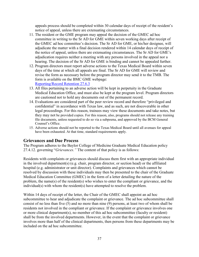appeals process should be completed within 30 calendar days of receipt of the resident's notice of appeal, unless there are extenuating circumstances.

- 11. The resident or the GME program may appeal the decision of the GMEC ad hoc committee in writing to the Sr AD for GME within seven working days after receipt of the GMEC ad hoc committee's decision. The Sr AD for GME, or his/her designee, will adjudicate the matter with a final decision rendered within 14 calendar days of receipt of the notice of appeal, unless there are extenuating circumstances. The Sr AD for GME's adjudication requires neither a meeting with any persons involved in the appeal nor a hearing. The decision of the Sr AD for GME is binding and cannot be appealed further.
- 12. Program directors must report adverse actions to the Texas Medical Board within seven days of the time at which all appeals are final. The Sr AD for GME will review and revise the form as necessary before the program director may send it to the TMB. The form is available on the BMC GME webpage: [Reporting/Record Retention 27.6.3](http://intranet.bcm.edu/index.cfm?fuseaction=Policies.Display_Policy&Policy_Number=27.6.3)
- 13. All files pertaining to an adverse action will be kept in perpetuity in the Graduate Medical Education Office, and must also be kept at the program level. Program directors are cautioned not to hold any documents out of the permanent record.
- 14. Evaluations are considered part of the peer review record and therefore "privileged and confidential" in accordance with Texas law, and as such, are not discoverable in other legal proceedings. For this reason, trainees may view these documents and take notes, but they may not be provided copies. For this reason, also, programs should not release any training file documents, unless requested to do so via a subpoena, and approved by the BCM General Counsel's Office.
- 15. Adverse actions should not be reported to the Texas Medical Board until all avenues for appeal have been exhausted. At that time, standard requirements apply.

## **Grievances and Due Process**

The Program adheres to the Baylor College of Medicine Graduate Medical Education policy 27.4.12. governing "*Grievances."* The content of that policy is as follows:

Residents with complaints or grievances should discuss them first with an appropriate individual in the involved department(s) (e.g. chair, program director, or section head) or the affiliated hospital (e.g. administrator or unit director). Complaints and grievances which cannot be resolved by discussion with these individuals may then be presented to the chair of the Graduate Medical Education Committee (GMEC) in the form of a letter detailing the nature of the problem, the name(s) of the resident(s) who wishes to enter the compliant or grievance, and the individual(s) with whom the resident(s) have attempted to resolve the problem.

Within 14 days of receipt of the letter, the Chair of the GMEC shall appoint an ad hoc subcommittee to hear and adjudicate the complaint or grievance. The ad hoc subcommittee shall consist of no less than five (5) and no more than nine (9) persons, at least two of whom shall be residents not involved in the compliant or grievance. If the complaint or grievance involves one or more clinical department(s), no member of this ad hoc subcommittee (faculty or resident) shall be from the involved departments. However, in the event that the complaint or grievance involves more than half of the clinical departments, then persons from these departments may be included on the ad hoc subcommittee.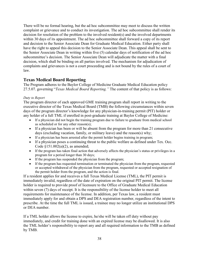There will be no formal hearing, but the ad hoc subcommittee may meet to discuss the written complaint or grievance and to conduct its investigation. The ad hoc subcommittee shall render its decision for resolution of the problem to the involved resident(s) and the involved departments within 30 days of its appointment. The ad hoc subcommittee shall forward a copy of its report and decision to the Senior Associate Dean for Graduate Medical Education. Either party shall have the right to appeal this decision to the Senior Associate Dean. This appeal shall be sent to the Senior Associate Dean in writing within five (5) calendar days of notification of the ad hoc subcommittee's decision. The Senior Associate Dean will adjudicate the matter with a final decision, which shall be binding on all parties involved. The mechanism for adjudication of complaints and grievances is not a court proceeding and is not bound by the rules of a court of law.

## <span id="page-38-0"></span>**Texas Medical Board Reporting**

The Program adheres to the Baylor College of Medicine Graduate Medical Education policy 27.5.07. governing "*Texas Medical Board Reporting."* The content of that policy is as follows:

#### *Duty to Report*

The program director of each approved GME training program shall report in writing to the executive director of the Texas Medical Board (TMB) the following circumstances within seven days of the program director's knowledge for any physician-in-training permit (PIT) holder or any holder of a full TML if enrolled in post-graduate training at Baylor College of Medicine:

- If a physician did not begin the training program due to failure to graduate from medical school as scheduled or for any other reason(s);
- If a physician has been or will be absent from the program for more than 21 consecutive days (excluding vacation, family, or military leave) and the reason(s) why;
- If a physician has been arrested after the permit holder begins training in program;
- If a physician poses a continuing threat to the public welfare as defined under Tex. Occ. Code §151.002(a)(2), as amended;
- If the program has taken final action that adversely affects the physician's status or privileges in a program for a period longer than 30 days;
- If the program has suspended the physician from the program;
- If the program has requested termination or terminated the physician from the program, requested or accepted withdrawal of the physician from the program, requested or accepted resignation of the permit holder from the program, and the action is final.

If a resident applies for and receives a full Texas Medical License (TML), the PIT permit is immediately invalid, regardless of the date of expiration on the original PIT permit. The license holder is required to provide proof of licensure to the Office of Graduate Medical Education within seven (7) days of receipt. It is the responsibility of the license holder to meet all requirements for maintenance of the license. In addition, per Texas law, a resident must immediately apply for and obtain a DPS and DEA registration number, regardless of the intent to prescribe. At the time the full TML is issued, a trainee may no longer utilize an institutional DPS or DEA number.

If a TML holder allows the license to expire, he/she will be taken off duty without pay immediately, and credit for training done with an expired license may be disallowed. It is also the TML holder's responsibility to report any and all required information to the TMB as defined by TMB.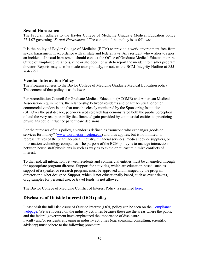## <span id="page-39-0"></span>**Sexual Harassment**

The Program adheres to the Baylor College of Medicine Graduate Medical Education policy 27.4.07 governing "*Sexual Harassment."* The content of that policy is as follows:

It is the policy of Baylor College of Medicine (BCM) to provide a work environment free from sexual harassment in accordance with all state and federal laws. Any resident who wishes to report an incident of sexual harassment should contact the Office of Graduate Medical Education or the Office of Employee Relations, if he or she does not wish to report the incident to his/her program director. Reports may also be made anonymously, or not, to the BCM Integrity Hotline at 855- 764-7292.

## <span id="page-39-1"></span>**Vendor Interaction Policy**

The Program adheres to the Baylor College of Medicine Graduate Medical Education policy. The content of that policy is as follows:

Per Accreditation Council for Graduate Medical Education (ACGME) and American Medical Association requirements, the relationship between residents and pharmaceutical or other commercial vendors is one that must be closely monitored by the Sponsoring Institution (SI). Over the past decade, peer-reviewed research has demonstrated both the public perception of and the very real possibility that financial gain provided by commercial entities to practicing physicians could influence patient care decisions.

For the purposes of this policy, a vendor is defined as "someone who exchanges goods or services for money" [\(www.wordnet.princeton.edu\)](http://www.wordnet.princeton.edu/) and thus applies, but is not limited, to representatives of the pharmaceutical industry, financial services, medical device suppliers, or information technology companies. The purpose of the BCM policy is to manage interactions between house staff physicians in such as way as to avoid or at least minimize conflicts of interest.

To that end, all interaction between residents and commercial entities must be channeled through the appropriate program director. Support for activities, which are education-based, such as support of a speaker or research program, must be approved and managed by the program director or his/her designee. Support, which is not educationally based, such as event tickets, drug samples for personal use, or travel funds, is not allowed.

The Baylor College of Medicine Conflict of Interest Policy is reprinted [here.](http://intranet.bcm.edu/index.cfm?fuseaction=Policies.Display_Policy&Policy_Number=27.4.08)

## <span id="page-39-2"></span>**Disclosure of Outside Interest (DOI) policy**

Please visit the full Disclosure of Outside Interest (DOI) policy can be seen on the [Compliance](https://intranet.bcm.edu/?tmp=/compliance-audit/home)  [webpage.](https://intranet.bcm.edu/?tmp=/compliance-audit/home) We are focused on the industry activities because these are the areas where the public and the federal government have emphasized the importance of disclosure. Faculty and/or residents engaging in industry activities (e.g. speaking, consulting, scientific advisory) must adhere to the following procedure: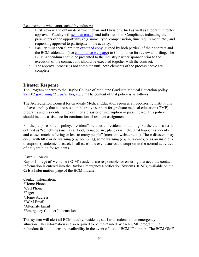Requirements when approached by industry:

- First, review and obtain department chair and Division Chief as well as Program Director approval. Faculty will [send an email](mailto:DOIApproval@bcm.edu) send information to Compliance indicating the parameters of the opportunity (e.g. name, type, compensation, time requirement, etc.) and requesting approval to participate in the activity;
- Faculty must then [submit an executed copy](mailto:DOIApproval@bcm.edu) (signed by both parties) of their contract and the BCM addendum (see [compliance webpage\)](https://intranet.bcm.edu/?tmp=/compliance-audit/home) to Compliance for review and filing. The BCM Addendum should be presented to the industry partner/sponsor prior to the execution of the contract and should be executed together with the contract.
- The approval process is not complete until both elements of the process above are complete.

## <span id="page-40-0"></span>**Disaster Response**

The Program adheres to the Baylor College of Medicine Graduate Medical Education policy 27.5.02 governing "*[Disaster Response."](http://intranet.bcm.edu/index.cfm?fuseaction=Policies.Display_Policy&Policy_Number=27.5.02)* The content of that policy is as follows:

The Accreditation Council for Graduate Medical Education requires all Sponsoring Institutions to have a policy that addresses administrative support for graduate medical education (GME) programs and residents in the event of a disaster or interruption in patient care. This policy should include assistance for continuation of resident assignments.

For the purposes of this policy, "resident" includes all residents in training. Further, a disaster is defined as "something (such as a flood, tornado, fire, plane crash, etc.) that happens suddenly and causes much suffering or loss to many people" (merriam-webster.com). These disasters may occur with little or no warning (e.g. bombing), some warning (e.g. hurricane), or as an insidious disruption (pandemic disease). In all cases, the event causes a disruption in the normal activities of daily training for residents.

#### *Communication*

Baylor College of Medicine (BCM) residents are responsible for ensuring that accurate contact information is entered into the Baylor Emergency Notification System (BENS), available on the **Crisis Information** page of the BCM Intranet.

Contact Information: \*Home Phone \*Cell Phone \*Pager \*Home Address \*BCM Email \*Alternate Email \*Emergency Contact Information

This system will alert all BCM faculty, residents, staff and students of an emergency situation. This information is also required to be maintained by each GME program in a redundant fashion to ensure availability in the event of loss of BCM IT support. The BCM GME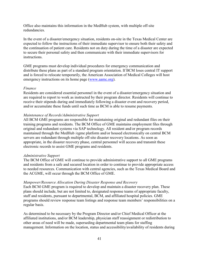Office also maintains this information in the MedHub system, with multiple off-site redundancies.

In the event of a disaster/emergency situation, residents on-site in the Texas Medical Center are expected to follow the instructions of their immediate supervisor to ensure both their safety and the continuation of patient care. Residents not on duty during the time of a disaster are expected to secure their personal safety and then communicate with their immediate supervisors for instructions.

GME programs must develop individual procedures for emergency communication and distribute these plans as part of a standard program orientation. If BCM loses central IT support and is forced to relocate temporarily, the American Association of Medical Colleges will host emergency instructions on its home page [\(www.aamc.org\)](http://www.aamc.org/).

#### *Finance*

Residents are considered essential personnel in the event of a disaster/emergency situation and are required to report to work as instructed by their program director. Residents will continue to receive their stipends during and immediately following a disaster event and recovery period, and/or accumulate these funds until such time as BCM is able to resume payments.

#### *Maintenance of Records/Administrative Support*

All BCM GME programs are responsible for maintaining original and redundant files on their training programs and residents. The BCM Office of GME maintains employment files through original and redundant systems via SAP technology. All resident and/or program records maintained through the MedHub /egme platform and/or housed electronically on central BCM servers are redundant through multiple off-site disaster recovery locations. As soon as appropriate, in the disaster recovery phase, central personnel will access and transmit these electronic records to assist GME programs and residents.

#### *Administrative Support*

The BCM Office of GME will continue to provide administrative support to all GME programs and residents from a safe and secured location in order to continue to provide appropriate access to needed resources. Communication with central agencies, such as the Texas Medical Board and the ACGME, will occur through the BCM Office of GME.

#### *Manpower/Resource Allocation During Disaster Response and Recovery*

Each BCM GME program is required to develop and maintain a disaster recovery plan. These plans should include, but are not limited to, designated response teams of appropriate faculty, staff and residents, pursuant to departmental, BCM, and affiliated hospital policies. GME programs should review response team listings and response team members' responsibilities on a regular basis.

As determined to be necessary by the Program Director and/or Chief Medical Officer at the affiliated institutions, and/or BCM leadership, physician staff reassignment or redistribution to other areas of need will be made, superseding departmental team plans for staffing management. Information on the location, status and accessibility/availability of residents during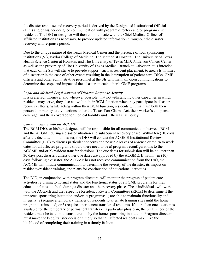the disaster response and recovery period is derived by the Designated Institutional Official (DIO) and/or his/her designee communication with program directors and/or program chief residents. The DIO or designee will then communicate with the Chief Medical Officer of affiliated institutions as necessary, to provide updated information throughout the disaster recovery and response period.

Due to the unique nature of the Texas Medical Center and the presence of four sponsoring institutions (SI), Baylor College of Medicine, The Methodist Hospital, The University of Texas Health Science Center at Houston, and The University of Texas M.D. Anderson Cancer Center, as well as the proximity of The University of Texas Medical Branch at Galveston, it is intended that each of the SIs will strive to provide support, such as resident placement, to area SIs in times of disaster or in the case of other events resulting in the interruption of patient care. DIOs, GME officials and other administrative personnel at the SIs will maintain open communications to determine the scope and impact of the disaster on each other's GME programs.

#### *Legal and Medical-Legal Aspects of Disaster Response Activity*

It is preferred, whenever and wherever possible, that notwithstanding other capacities in which residents may serve, they also act within their BCM function when they participate in disaster recovery efforts. While acting within their BCM function, residents will maintain both their personal immunity to civil actions under the Texas Tort Claims Act, their worker's compensation coverage, and their coverage for medical liability under their BCM policy.

#### *Communication with the ACGME*

The BCM DIO, or his/her designee, will be responsible for all communication between BCM and the ACGME during a disaster situation and subsequent recovery phase. Within ten (10) days after the declaration of a disaster, the DIO will contact the ACGME Institutional Review Committee (IRC) to discuss particular concerns and possible leaves of absence or return to work dates for all affected programs should there need to be a) program reconfigurations to the ACGME and/or b) resident transfer decisions. The due dates for submission will be no later than 30 days post disaster, unless other due dates are approved by the ACGME. If within ten (10) days following a disaster, the ACGME has not received communication from the DIO, the ACGME will initiate communication to determine the severity of the disaster, its impact on residency/resident training, and plans for continuation of educational activities.

The DIO, in conjunction with program directors, will monitor the progress of patient care activities returning to normal status and the functional status of all GME programs for their educational mission both during a disaster and the recovery phase. These individuals will work with the ACGME and the respective Residency Review Committees (RRCs) to determine if the impacted sponsoring institution and/or its programs: 1) are able to maintain functionality and integrity; 2) require a temporary transfer of residents to alternate training sites until the home program is reinstated; or 3) require a permanent transfer of residents. If more than one location is available for the temporary or permanent transfer of a particular physician, the preferences of the resident must be taken into consideration by the home sponsoring institution. Program directors must make the keep/transfer decision timely so that all affected residents maximize the likelihood of completing their training in a timely fashion.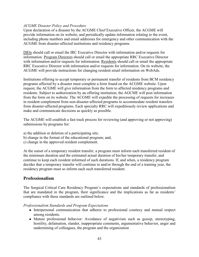#### *ACGME Disaster Policy and Procedure*

Upon declaration of a disaster by the ACGME Chief Executive Officer, the ACGME will provide information on its website, and periodically update information relating to the event, including phone numbers and email addresses for emergency and other communication with the ACGME from disaster-affected institutions and residency programs.

DIOs should call or email the IRC Executive Director with information and/or requests for information. Program Directors should call or email the appropriate RRC Executive Director with information and/or requests for information. Residents should call or email the appropriate RRC Executive Director with information and/or requests for information. On its website, the ACGME will provide instructions for changing resident email information on WebAds.

Institutions offering to accept temporary or permanent transfer of residents from BCM residency programs affected by a disaster must complete a form found on the ACGME website. Upon request, the ACGME will give information from the form to affected residency programs and residents. Subject to authorization by an offering institution, the AGCME will post information from the form on its website. The ACGME will expedite the processing of requests for increases in resident complement from non-disaster-affected programs to accommodate resident transfers from disaster-affected programs. Each specialty RRC will expeditiously review applications and make and communicate decisions as quickly as possible.

The ACGME will establish a fast track process for reviewing (and approving or not approving) submissions by programs for:

- a) the addition or deletion of a participating site;
- b) change in the format of the educational program; and,
- c) change in the approved resident complement.

At the outset of a temporary resident transfer, a program must inform each transferred resident of the minimum duration and the estimated actual duration of his/her temporary transfer, and continue to keep each resident informed of such durations. If, and when, a residency program decides that a temporary transfer will continue to and/or through the end of a training year, the residency program must so inform each such transferred resident.

## <span id="page-43-0"></span>**Professionalism**

The Surgical Critical Care Residency Program's expectations and standards of professionalism that are mandated in the program, their significance and the implications as far as residents' compliance with these standards are outlined below.

*Professionalism Standards and Program Expectations*

- Interpersonal communication that adheres to professional courtesy and mutual respect among residents.
- Mature professional behavior: Avoidance of negativism such as gossip, stereotyping, hostility, defamation, slander, inappropriate comments, argumentative behavior, anger and undermining of colleagues, the program and the organization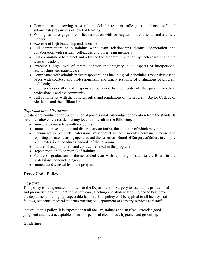- Commitment to serving as a role model for resident colleagues, students, staff and subordinates regardless of level of training
- Willingness to engage in conflict resolution with colleagues in a courteous and a timely manner
- Exercise of high leadership and moral skills
- Full commitment to sustaining work team relationships through cooperation and collaboration with resident colleagues and other team members
- Full commitment to protect and advance the program reputation by each resident and the team of residents
- Exercise a high level of ethics, honesty and integrity in all aspects of interpersonal relationships and patient care
- Compliance with administrative responsibilities including call schedules, responsiveness to pages with courtesy and professionalism, and timely response of evaluations of program and faculty
- High professionally and responsive behavior to the needs of the patient, medical professionals and the community
- Full compliance with the policies, rules, and regulations of the program, Baylor College of Medicine, and the affiliated institutions.

## *Professionalism Misconduct*

Substandard conduct or any occurrence of professional misconduct or deviation from the standards described above by a resident at any level will result in the following:

- $\bullet$  Immediate counseling with resident(s)
- $\bullet$  Immediate investigation and disciplinary action(s), the outcome of which may be:
- Documentation of such professional misconduct in the resident's permanent record and reporting to state licensing agencies and the American Board of Surgery of failure to comply with professional conduct standards of the Program
- Failure of reappointment and contract renewal in the program
- Repeat rotation(s) or year(s) of training
- Failure of graduation in the scheduled year with reporting of such to the Board in the professional conduct category
- Immediate dismissal from the program

## <span id="page-44-0"></span>**Dress Code Policy**

## **Objective:**

This policy is being created in order for the Department of Surgery to maintain a professional and productive environment for patient care, teaching and student learning and to best present the department in a highly respectable fashion. This policy will be applied to all faculty, staff, fellows, residents, medical students rotating on Department of Surgery services and staff.

Integral to this policy, it is expected that all faculty, trainees and staff will exercise good judgment and meet acceptable norms for personal cleanliness, hygiene, and grooming.

## **Guidelines:**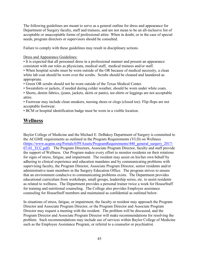The following guidelines are meant to serve as a general outline for dress and appearance for Department of Surgery faculty, staff and trainees, and are not mean to be an all-inclusive list of acceptable or unacceptable forms of professional attire. When in doubt, or in the case of special needs, program directors or supervisors should be consulted.

Failure to comply with these guidelines may result in disciplinary actions.

Dress and Appearance Guidelines:

• It is expected that all personnel dress in a professional manner and present an appearance consistent with our roles as physicians, medical staff, medical trainees and/or staff.

• When hospital scrubs must be worn outside of the OR because of medical necessity, a clean white lab coat should be worn over the scrubs. Scrubs should be cleaned and laundered as appropriate.

• Green OR scrubs should not be worn outside of the Texas Medical Center.

• Sweatshirts or jackets, if needed during colder weather, should be worn under white coats.

• Shorts, denim fabrics, (jeans, jackets, skirts or pants), tee-shirts or leggings are not acceptable attire.

• Footwear may include clean sneakers, nursing shoes or clogs (closed toe). Flip-flops are not acceptable footwear.

• BCM or hospital identification badge must be worn in a visible location.

## <span id="page-45-0"></span>**Wellness**

Baylor College of Medicine and the Michael E. DeBakey Department of Surgery is committed to the ACGME requirements as outlined in the Program Requirements (VI.D) on Wellness [\(https://www.acgme.org/Portals/0/PFAssets/ProgramRequirements/440\\_general\\_surgery\\_2017-](https://www.acgme.org/Portals/0/PFAssets/ProgramRequirements/440_general_surgery_2017-07-01_TCC.pdf) 07-01 TCC.pdf). The Program Directors, Associate Program Director, faculty and staff provide the support of Wellness. Our Program makes every effort to monitor residents on their rotations for signs of stress, fatigue, and impairment. The resident may assist on his/her own behalf by adhering to clinical experience and education mandates and by communicating problems with supervising faculty, the Program Director, Associate Program Director, senior residents and/or administrative team members in the Surgery Education Office. The program strives to ensure that an environment conducive to communicating problems exists. The Department provides educational curriculum from workshops, small groups, leadership series, etc. to assist residents as related to wellness. The Department provides a personal trainer twice a week for HouseStaff for training and nutritional counseling. The College also provides Employee assistance counseling for HouseStaff members and maintained as confidential as outlined below.

In situations of stress, fatigue, or impairment, the faculty or resident may approach the Program Director and Associate Program Director, or the Program Director and Associate Program Director may request a meeting with the resident. The problem will be discussed, and the Program Director and Associate Program Director will make recommendations for resolving the problem. Such recommendations may include use of services within Baylor College of Medicine such as the Employee Assistance Program, or referral to a counselor or psychiatrist.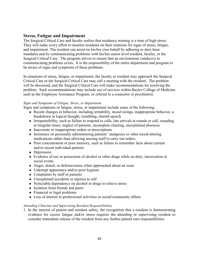## <span id="page-46-0"></span>**Stress, Fatigue and Impairment**

The Surgical Critical Care and faculty realize that residency training is a time of high stress. They will make every effort to monitor residents on their rotations for signs of stress, fatigue, and impairment. The resident can assist on his/her own behalf by adhering to duty-hour mandates and by communicating problems with his/her senior level resident, faculty, or the Surgical Critical Care. The program strives to ensure that an environment conducive to communicating problems exists. It is the responsibility of the entire department and program to be aware of signs and symptoms of these problems.

In situations of stress, fatigue, or impairment, the faculty or resident may approach the Surgical Critical Care or the Surgical Critical Care may call a meeting with the resident. The problem will be discussed, and the Surgical Critical Care will make recommendations for resolving the problem. Such recommendations may include use of services within Baylor College of Medicine such as the Employee Assistance Program, or referral to a counselor or psychiatrist.

#### *Signs and Symptoms of Fatigue, Stress, or Impairment*

Signs and symptoms or fatigue, stress, or impairment include some of the following:

- Recent changes in behavior, including irritability, mood swings, inappropriate behavior, a breakdown in logical thought, trembling, slurred speech
- Irresponsibility, such as failure to respond to calls, late arrivals at rounds or call, rounding at irregular times, neglect of patients, incomplete charting, unexplained absences
- Inaccurate or inappropriate orders or prescriptions
- Insistence on personally administering patients' analgesics or other mood-altering medications rather than allowing nursing staff to carry out orders.
- Poor concentration or poor memory, such as failure to remember facts about current and/or recent individual patients
- Depression
- Evidence of use or possession of alcohol or other drugs while on duty; intoxication at social events
- Anger, denial, or defensiveness when approached about an issue
- Unkempt appearance and/or poor hygiene
- Complaints by staff or patients
- Unexplained accidents or injuries to self
- Noticeable dependency on alcohol or drugs to relieve stress
- Isolation from friends and peers
- Financial or legal problems
- Loss of interest in professional activities or social/community affairs

#### *Attending Clinician and Supervising Resident Responsibilities*

1. In the interest of patient and resident safety, the recognition that a resident is demonstrating evidence for excess fatigue and/or stress requires the attending or supervising resident to consider immediate release of the resident from any further patient care responsibilities.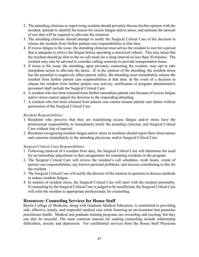- 2. The attending clinician or supervising resident should privately discuss his/her opinion with the resident, attempt to identify the reason for excess fatigue and/or stress, and estimate the amount of rest that will be required to alleviate the situation.
- 3. The attending clinician should attempt to notify the Surgical Critical Care of the decision to release the resident from further patient care responsibilities at that time.
- 4. If excess fatigue is the issue, the attending clinician must advise the resident to rest for a period that is adequate to relieve the fatigue before operating a motorized vehicle. This may mean that the resident should go first to the on-call room for a sleep interval no less than 30 minutes. The resident may also be advised to consider calling someone to provide transportation home.
- 5. If stress is the issue, the attending, upon privately counseling the resident, may opt to take immediate action to alleviate the stress. If, in the opinion of the attending, the resident stress has the potential to negatively affect patient safety, the attending must immediately release the resident from further patient care responsibilities at that time. In the event of a decision to release the resident from further patient care activity; notification of program administrative personnel shall include the Surgical Critical Care.
- 6. A resident who has been released from further immediate patient care because of excess fatigue and/or stress cannot appeal the decision to the responding attending.
- 7. A resident who has been released from patient care cannot resume patient care duties without permission of the Surgical Critical Care.

## *Resident Responsibilities*

- 1. Residents who perceive that they are manifesting excess fatigue and/or stress have the professional responsibility to immediately notify the attending clinician, and Surgical Critical Care without fear of reprisal.
- 2. Residents recognizing resident fatigue and/or stress in residents should report their observations and concerns immediately to the attending physician, and/or Surgical Critical Care.

## *Surgical Critical Care Responsibilities*

- 1. Following removal of a resident from duty, the Surgical Critical Care will determine the need for an immediate adjustment in duty assignments for remaining residents in the program.
- 2. The Surgical Critical Care will review the resident's call schedules, work hours, extent of patient care responsibilities, any known personal problems, and stresses contributing to this for the resident.
- 3. The Surgical Critical Care will notify the director of the rotation in question to discuss methods to reduce resident fatigue.
- 4. In matters of resident stress, the Surgical Critical Care will meet with the resident personally. If counseling by the Surgical Critical Care is judged to be insufficient, the Surgical Critical Care will refer the resident to appropriate professionals for counseling.

## <span id="page-47-0"></span>**Resources: Counseling Services for House Staff**

Baylor College of Medicine, along with Graduate Medical Education, is committed to providing safe, effective, timely, and respectful medical care while fostering an environment that promotes practitioner health. Medical and graduate training programs are rewarding and exciting, but they can also be stressful. The most common reasons for seeking counseling include relationship difficulties, anxiety and depression. For confidential services from the House Staff Physician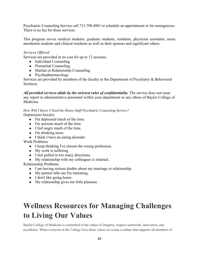Psychiatric Counseling Service call 713.798.4881 to schedule an appointment or for emergencies. There is no fee for these services.

This program serves medical students, graduate students, residents, physician assistants, nurse anesthetist students and clinical residents as well as their spouses and significant others.

#### *Services Offered*

Services are provided at no cost for up to 12 sessions.

- Individual Counseling
- Premarital Counseling
- Marital or Relationship Counseling
- Psychopharmacology

Services are provided by members of the faculty in the Department of Psychiatry & Behavioral Sciences.

All provided services abide by the strictest rules of confidentiality. The service does not issue any report to administrative personnel within your department or any others of Baylor College of Medicine.

## *How Will I Know I Need the House Staff Psychiatric Counseling Service?*

Depression/Anxiety

- I'm depressed much of the time.
- I'm anxious much of the time.
- I feel angry much of the time.
- I'm drinking more.
- I think I have an eating disorder.

Work Problems

- I keep thinking I've chosen the wrong profession.
- My work is suffering.
- I feel pulled in too many directions.
- My relationship with my colleagues is strained.

Relationship Problems

- I am having serious doubts about my marriage or relationship.
- My partner tells me I'm retreating.
- I don't like going home.
- My relationship gives me little pleasure.

# **Wellness Resources for Managing Challenges to Living Our Values**

Baylor College of Medicine is committed to the values of integrity, respect, teamwork, innovation, and excellence. When everyone at the College lives these values we create a culture that supports all members of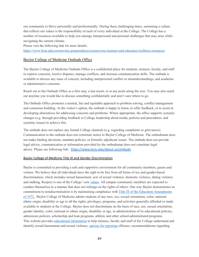our community to thrive personally and professionally. During these challenging times, sustaining a culture that reflects our values is the responsibility of each of every individual at the College. The College has a number of resources available to help you manage interpersonal and personal challenges that may arise while navigating the current climate.

Please visit the following link for more details:

<https://www.bcm.edu/coronavirus-preparedness/coronavirus-learners-and-educators/wellness-resources>

#### Baylor College of Medicine Ombuds Office

The Baylor College of Medicine Ombuds Office is a confidential place for students, trainees, faculty, and staff to express concerns, resolve disputes, manage conflicts, and increase communication skills. The ombuds is available to discuss any issue of concern, including interpersonal conflict or misunderstandings, and academic or administrative concerns.

Reach out to the Ombuds Office as a first step, a last resort, or at any point along the way. You may also reach out anytime you would like to discuss something confidentially and aren't sure where to go.

The Ombuds Office promotes a neutral, fair and equitable approach to problem solving, conflict management and consensus building. At the visitor's option, the ombuds is happy to listen, to offer feedback, or to assist in developing alternatives for addressing concerns and problems. Where appropriate, the office supports systemic changes (e.g. through providing feedback to College leadership about trends, policies and procedures, and systemic issues) to achieve this.

The ombuds does not replace any formal College channels (e.g. regarding complaints or grievances). Communication to the ombuds does not constitute notice to Baylor College of Medicine. The ombudsman does not make binding decisions, mandate policies, or formally adjudicate issues. The ombuds does not provide legal advice; communication or information provided by the ombudsman does not constitute legal advice Please see following link: <https://www.bcm.edu/about-us/ombuds>

#### Baylor College of Medicine Title IX and Gender Discrimination

Baylor is committed to providing a safe and supportive environment for all community members, guests and visitors. We believe that all individuals have the right to be free from all forms of sex and gender-based discrimination, which includes sexual harassment, acts of sexual violence, domestic violence, dating violence and stalking. Respect is one of the College' core [values.](https://www.bcm.edu/about-us/mission-vision-values) All campus community members are expected to conduct themselves in a manner that does not infringe on the rights of others. One way Baylor demonstrates its commitment to nondiscrimination is by maintaining compliance with [Title IX of the Education Amendments](https://www.bcm.edu/education/academic-faculty-affairs/academic-policies/title-ix-and-gender-discrimination/education)  [of 1972.](https://www.bcm.edu/education/academic-faculty-affairs/academic-policies/title-ix-and-gender-discrimination/education) Baylor College of Medicine admits students of any race, sex, sexual orientation, color, national ethnic origin, disability or age to all the rights, privileges, programs, and activities generally afforded or made available to students at the College. Baylor does not discriminate on the basis of race, sex, sexual orientation, gender identity, color, national or ethnic origin, disability or age, in administration of its educational policies, admissions policies, scholarship and loan programs, athletic and other school-administrated programs. This website provides [educational information](https://www.bcm.edu/education/academic-faculty-affairs/academic-policies/title-ix-and-gender-discrimination/education) to help trainees, faculty and staff of the College understand and identify sexual harassment and sexual violence[, options for reporting](https://www.bcm.edu/education/academic-faculty-affairs/academic-policies/title-ix-and-gender-discrimination/reporting-options) offenses, recommendations regarding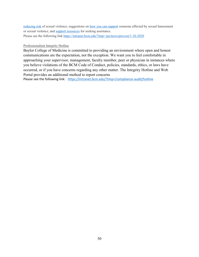[reducing risk](https://www.bcm.edu/education/academic-faculty-affairs/academic-policies/title-ix-and-gender-discrimination/reduce-your-risk) of sexual violence, suggestions on [how you can support](https://www.bcm.edu/education/academic-faculty-affairs/academic-policies/title-ix-and-gender-discrimination/how-you-can-help) someone affected by sexual harassment or sexual violence, and [support resources](https://www.bcm.edu/education/academic-faculty-affairs/academic-policies/title-ix-and-gender-discrimination/get-help) for seeking assistance. Please see the following link<https://intranet.bcm.edu/?tmp=/pa/news/provost/1-10-2020>

#### Professionalism Integrity Hotline

Baylor College of Medicine is committed to providing an environment where open and honest communications are the expectation, not the exception. We want you to feel comfortable in approaching your supervisor, management, faculty member, peer or physician in instances where you believe violations of the BCM Code of Conduct, policies, standards, ethics, or laws have occurred, or if you have concerns regarding any other matter. The Integrity Hotline and Web Portal provides an additional method to report concerns

Please see the following link: <https://intranet.bcm.edu/?tmp=/compliance-audit/hotline>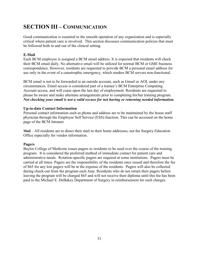# <span id="page-51-0"></span>**SECTION III – COMMUNICATION**

Good communication is essential to the smooth operation of any organization and is especially critical where patient care is involved. This section discusses communication policies that must be followed both in and out of the clinical setting.

## <span id="page-51-1"></span>**E-Mail**

Each BCM employee is assigned a BCM email address. It is expected that residents will check their BCM email daily. No alternative email will be utilized for normal BCM or GME business correspondence. However, residents are requested to provide BCM a personal email address for use only in the event of a catastrophic emergency, which renders BCM servers non-functional.

BCM email is not to be forwarded to an outside account, such as Gmail or AOL under any circumstances. Email access is considered part of a trainee's BCM Enterprise Computing Account access, and will cease upon the last day of employment. Residents are requested to please be aware and make alternate arrangements prior to completing his/her training program. *Not checking your email is not a valid excuse for not having or returning needed information.*

## <span id="page-51-2"></span>**Up-to-date Contact Information**

Personal contact information such as phone and address are to be maintained by the house staff physician through the Employee Self Service (ESS) function. This can be accessed on the home page of the BCM Intranet.

<span id="page-51-3"></span>**Mail** *–* All residents are to direct their mail to their home addresses, not the Surgery Education Office especially for vendor information.

## <span id="page-51-4"></span>**Pagers**

Baylor College of Medicine issues pagers to residents to be used over the course of the training program. It is considered the preferred method of immediate contact for patient care and administrative needs. Rotation-specific pagers are required at some institutions. Pagers must be carried at all times. Pagers are the responsibility of the residents once issued and therefore the fee of \$65 for any lost pagers will be at the expense of the residents. Pagers will also be collected during check-out from the program each June. Residents who do not return their pagers before leaving the program will be charged \$65 and will not receive their diploma until this fee has been paid to the Michael E. DeBakey Department of Surgery in reimbursement for such charges.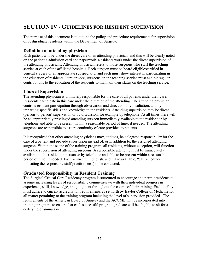# <span id="page-52-0"></span>**SECTION IV - GUIDELINES FOR RESIDENT SUPERVISION**

The purpose of this document is to outline the policy and procedure requirements for supervision of postgraduate residents within the Department of Surgery.

## <span id="page-52-1"></span>**Definition of attending physician**

Each patient will be under the direct care of an attending physician, and this will be clearly noted on the patient's admission card and paperwork. Residents work under the direct supervision of the attending physicians. Attending physician refers to those surgeons who staff the teaching service at each of the affiliated hospitals. Each surgeon must be board eligible/certified in general surgery or an appropriate subspecialty, and each must show interest in participating in the education of residents. Furthermore, surgeons on the teaching service must exhibit regular contributions to the education of the residents to maintain their status on the teaching service.

## <span id="page-52-2"></span>**Lines of Supervision**

The attending physician is ultimately responsible for the care of all patients under their care. Residents participate in this care under the direction of the attending. The attending physician controls resident participation through observation and direction, or consultation, and by imparting specific skills and knowledge to the residents. Attending supervision may be direct (person-to-person) supervision or by discussion, for example by telephone. At all times there will be an appropriately privileged attending surgeon immediately available to the resident or by telephone and able to be present within a reasonable period of time, if needed. The attending surgeons are responsible to assure continuity of care provided to patients.

It is recognized that other attending physicians may, at times, be delegated responsibility for the care of a patient and provide supervision instead of, or in addition to, the assigned attending surgeon. Within the scope of the training program, all residents, without exception, will function under the supervision of attending surgeons. A responsible attending must be immediately available to the resident in person or by telephone and able to be present within a reasonable period of time, if needed. Each service will publish, and make available, "call schedules" indicating the responsible staff practitioner(s) to be contacted.

## <span id="page-52-3"></span>**Graduated Responsibility in Resident Training**

The Surgical Critical Care Residency program is structured to encourage and permit residents to assume increasing levels of responsibility commensurate with their individual progress in experience, skill, knowledge, and judgment throughout the course of their training. Each facility must adhere to current accreditation requirements as set forth by Baylor College of Medicine for all matter pertaining to the training program including the level of supervision provided. The requirements of the American Board of Surgery and the ACGME will be incorporated into training programs to ensure that each successful program graduate will be eligible to sit for a certifying examination.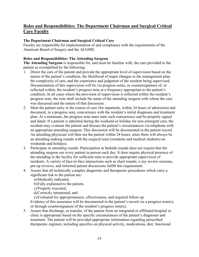## <span id="page-53-0"></span>**Roles and Responsibilities: The Department Chairman and Surgical Critical Care Faculty**

## **The Department Chairman and Surgical Critical Care**

Faculty are responsible for implementation of and compliance with the requirements of the American Board of Surgery and the ACGME.

## **Roles and Responsibilities: The Attending Surgeon**

**The Attending Surgeon** is responsible for, and must be familiar with, the care provided to the patient as exemplified by the following:

- 1. Direct the care of the patient and provide the appropriate level of supervision based on the nature of the patient's condition, the likelihood of major changes in the management plan, the complexity of care, and the experience and judgment of the resident being supervised. Documentation of this supervision will be via progress notes, or countersignature of, or reflected within, the resident's progress note at a frequency appropriate to the patient's condition. In all cases where the provision of supervision is reflected within the resident's progress note, the note shall include the name of the attending surgeon with whom the case was discussed and the nature of that discussion.
- 2. Meet the patient early in the course of care (for inpatients, within 24 hours of admission) and document, in a progress note, concurrence with the resident's initial diagnoses and treatment plan. At a minimum, the progress note must state such concurrence and be properly signed and dated. If a patient is admitted during the weekend or holiday for non-emergent care, the resident may evaluate the patient and discuss the patient's circumstances via telephone with an appropriate attending surgeon. This discussion will be documented in the patient record. An attending physician will then see the patient within 24 hours, since there will always be an attending making rounds with the surgical team (residents and medical students) on weekends and holidays.
- 3. Participate in attending rounds. Participation in bedside rounds does not require that the attending surgeon see every patient in person each day. It does require physical presence of the attending in the facility for sufficient time to provide appropriate supervision of residents. A variety of face-to-face interactions such as chart rounds, x-ray review sessions, pre-op reviews, and informal patient discussions fulfill this requirement.
- 4. Assure that all technically complex diagnostic and therapeutic procedures which carry a significant risk to the patient are:
	- a)Medically indicated,
	- b)Fully explained to the patient,
	- c)Properly executed,
	- d)Correctly interpreted, and
	- e)Evaluated for appropriateness, effectiveness, and required follow up.

Evidence of this assurance will be documented in the patient's record via a progress note(s), or through countersignature of the resident's progress note(s).

5. Assure that discharge, or transfer, of the patient from an integrated or affiliated hospital or clinic is appropriate based on the specific circumstances of the patient's diagnoses and treatment. The patient will be provided appropriate information regarding prescribed therapeutic regimen, including specifics on physical activity, medications, diet, functional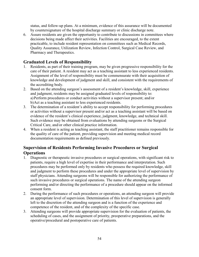status, and follow-up plans. At a minimum, evidence of this assurance will be documented by countersignature of the hospital discharge summary or clinic discharge note.

6. Assure residents are given the opportunity to contribute to discussions in committees where decisions being made affect their activities. Facilities are encouraged, to the extent practicable, to include resident representation on committees such as Medical Records, Quality Assurance, Utilization Review, Infection Control, Surgical Case Review, and Pharmacy and Therapeutics.

## <span id="page-54-0"></span>**Graduated Levels of Responsibility**

- 1. Residents, as part of their training program, may be given progressive responsibility for the care of their patient. A resident may act as a teaching assistant to less experienced residents. Assignment of the level of responsibility must be commensurate with their acquisition of knowledge and development of judgment and skill, and consistent with the requirements of the accrediting body.
- 2. Based on the attending surgeon's assessment of a resident's knowledge, skill, experience and judgment, residents may be assigned graduated levels of responsibility to: a)Perform procedures or conduct activities without a supervisor present; and/or b)Act as a teaching assistant to less experienced residents.
- 3. The determination of a resident's ability to accept responsibility for performing procedures or activities without a supervisor present and/or act as a teaching assistant will be based on evidence of the resident's clinical experience, judgment, knowledge, and technical skill. Such evidence may be obtained from evaluations by attending surgeons or the Surgical Critical Care, and/or other clinical practice information.
- 4. When a resident is acting as teaching assistant, the staff practitioner remains responsible for the quality of care of the patient, providing supervision and meeting medical record documentation requirements as defined previously.

## **Supervision of Residents Performing Invasive Procedures or Surgical Operations**

- 1. Diagnostic or therapeutic invasive procedures or surgical operations, with significant risk to patients, require a high level of expertise in their performance and interpretation. Such procedures may be performed only by residents who possess the required knowledge, skill and judgment to perform these procedures and under the appropriate level of supervision by staff physicians. Attending surgeons will be responsible for authorizing the performance of such invasive procedures or surgical operations. The name of the attending surgeon performing and/or directing the performance of a procedure should appear on the informed consent form.
- 2. During the performance of such procedures or operations, an attending surgeon will provide an appropriate level of supervision. Determination of this level of supervision is generally left to the discretion of the attending surgeon and is a function of the experience and competence of the resident, and of the complexity of the specific case.
- 3. Attending surgeons will provide appropriate supervision for the evaluation of patients, the scheduling of cases, and the assignment of priority, preoperative preparations, and the operative/procedural and postoperative care of patients.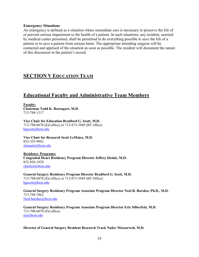#### **Emergency Situations**

An emergency is defined as a situation where immediate care is necessary to preserve the life of or prevent serious impairment to the health of a patient. In such situations, any resident, assisted by medical center personnel, shall be permitted to do everything possible to save the life of a patient or to save a patient from serious harm. The appropriate attending surgeon will be contacted and apprised of the situation as soon as possible. The resident will document the nature of this discussion in the patient's record.

## <span id="page-55-0"></span>**SECTION V EDUCATION TEAM**

# <span id="page-55-1"></span>**Educational Faculty and Administrative Team Members**

**Faculty: Chairman Todd K. Rosengart, M.D.** 713-798-1317

**Vice Chair for Education Bradford G. Scott, M.D.**  713-798-6078 (Ed office) or 713-873-3949 (BT office) [bgscott@bcm.edu](mailto:bgscott@bcm.edu)

**Vice Chair for Research Scott LeMaire, M.D.** 832-355-9942 [slemaire@bcm.edu](mailto:slemaire@bcm.edu)

**Residency Programs: Congenital Heart Residency Program Director Jeffrey Heinle, M.D.**  832-826-1929 [charlesf@bcm.edu](mailto:charlesf@bcm.edu)

**General Surgery Residency Program Director Bradford G. Scott, M.D.**  713-798-6078 (Ed office) or 713-873-3949 (BT Office) [bgscott@bcm.edu](mailto:bgscott@bcm.edu)

**General Surgery Residency Program Associate Program Director Neal R. Barshes, Ph.D., M.D.**  713-794-7862 [Neal.barshes@bcm.edu](mailto:Neal.barshes@bcm.edu)

**General Surgery Residency Program Associate Program Director Eric Silberfein, M.D.**  713-798-6078 (Ed office) [ejs@bcm.edu](mailto:ejs@bcm.edu)

#### **Director of General Surgery Resident Research Track Nader Massarweh, M.D.**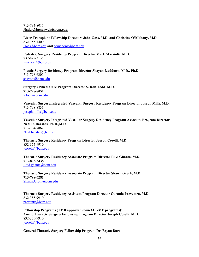#### 713-794-8017 **Nader.Massarweh@bcm.edu**

**Liver Transplant Fellowship Directors John Goss, M.D. and Christine O'Mahony, M.D.** 832-355-1400 [jgoss@bcm.edu](mailto:jgoss@bcm.edu) **and** [comahony@bcm.edu](mailto:comahony@bcm.edu)

**Pediatric Surgery Residency Program Director Mark Mazziotti, M.D.** 832-822-3135 [mazziott@bcm.edu](mailto:mazziott@bcm.edu)

**Plastic Surgery Residency Program Director Shayan Izaddoost, M.D., Ph.D.** 713-798-6305 [shayani@bcm.edu](mailto:shayani@bcm.edu)

**Surgery Critical Care Program Director S. Rob Todd M.D. 713-798-8051** [srtodd@bcm.edu](mailto:srtodd@bcm.edu)

**Vascular Surgery/Integrated Vascular Surgery Residency Program Director Joseph Mills, M.D.** 713-798-8831 [joseph.mills@bcm.edu](mailto:joseph.mills@bcm.edu)

**Vascular Surgery Integrated Vascular Surgery Residency Program Associate Program Director Neal R. Barshes, Ph.D.,M.D.**  713-794-7862 [Neal.barshes@bcm.edu](mailto:Neal.barshes@bcm.edu)

**Thoracic Surgery Residency Program Director Joseph Coselli, M.D.** 832-355-9910 [jcoselli@bcm.edu](mailto:jcoselli@bcm.edu)

**Thoracic Surgery Residency Associate Program Director Ravi Ghanta, M.D. 713-873-3435** [Ravi.ghanta@bcm.edu](mailto:Ravi.ghanta@bcm.edu)

**Thoracic Surgery Residency Associate Program Director Shawn Groth, M.D. 713-798-6281** [Shawn.Groth@bcm.edu](mailto:Shawn.Groth@bcm.edu)

**Thoracic Surgery Residency Assistant Program Director Ourania Preventza, M.D.** 832-355-9910 [preventz@bcm.edu](mailto:preventz@bcm.edu)

**Fellowship Programs (TMB approved /non-ACGME programs): Aortic Thoracic Surgery Fellowship Program Director Joseph Coselli, M.D.** 832-355-9910 [jcoselli@bcm.edu](mailto:jcoselli@bcm.edu)

**General Thoracic Surgery Fellowship Program Dr. Bryan Burt**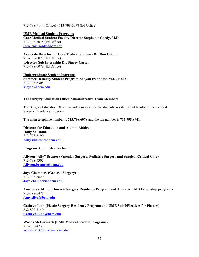#### 713-798-9144 (Office) / 713-798-6078 (Ed Office)

#### **UME Medical Student Programs**

**Core Medical Student Faculty Director Stephanie Gordy, M.D.**  713-798-6078 (Ed Office) [Stephanie.gordy@bcm.edu](mailto:Stephanie.gordy@bcm.edu)

**Associate Director for Core Medical Students Dr. Ron Cotton** 713-798-6078 (Ed Office) **Director Sub Internship Dr. Stacey Carter**  713-798-6078 (Ed Office)

**Undergraduate Student Program: Summer DeBakey Student Program-Shayan Izaddoost, M.D., Ph.D.** 713-798-6305 [shayani@bcm.edu](mailto:shayani@bcm.edu)

#### <span id="page-57-0"></span>**The Surgery Education Office Administrative Team Members**

The Surgery Education Office provides support for the students, residents and faculty of the General Surgery Residency Program.

The main telephone number is **713.798.6078** and the fax number is **713.798.8941**.

**Director for Education and Alumni Affairs Holly Shilstone**  713-798-6190 **[holly.shilstone@bcm.edu](mailto:holly.shilstone@bcm.edu)**

#### **Program Administrative team:**

**Allyson "Ally" Bremer (Vascular Surgery, Pediatric Surgery and Surgical Critical Care)** 713-798-5302 **[Allyson.bremer@bcm.edu](mailto:Allyson.bremer@bcm.edu)**

**Jaye Chambers (General Surgery)** 713-798-8629 **[Jaye.chambers@bcm.edu](mailto:Jaye.chambers@bcm.edu)**

**Amy Silva, M.Ed (Thoracic Surgery Residency Program and Thoracic TMB Fellowship programs** 713-798-6471 **[Amy.](mailto:jaye.chambers@bcm.edu)silva@bcm,edu**

**Cathryn Linn (Plastic Surgery Residency Program and UME Sub I/Electives for Plastics)** 832-822-3140 **[Cathryn.Linn@bcm.edu](mailto:Cathryn.Linn@bcm.edu)**

**Woods McCormack (UME Medical Student Programs)** 713-798-4733 [Woods.McCormack@bcm.edu](mailto:Woods.McCormack@bcm.edu)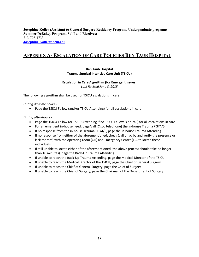**Josephine Koller (Assistant to General Surgery Residency Program, Undergraduate programs – Summer DeBakey Program, SubI and Electives)** 713-798-4733 **[Josephine.Koller@bcm.edu](mailto:Josephine.Koller@bcm.edu)**

## <span id="page-58-0"></span>**APPENDIX A- ESCALATION OF CARE POLICIES BEN TAUB HOSPITAL**

#### **Ben Taub Hospital Trauma Surgical Intensive Care Unit (TSICU)**

# **Escalation in Care Algorithm (for Emergent Issues)**

*Last Revised June 8, 2015*

The following algorithm shall be used for TSICU escalations in care:

#### *During daytime hours -*

• Page the TSICU Fellow (and/or TSICU Attending) for all escalations in care

#### *During after-hours -*

- Page the TSICU Fellow (or TSICU Attending if no TSICU Fellow is on-call) for all escalations in care
- For an emergent in-house need, page/call (Cisco telephone) the in-house Trauma PGY4/5
- If no response from the in-house Trauma PGY4/5, page the in-house Trauma Attending
- If no response from either of the aforementioned, check (call or go by and verify the presence or lack thereof) with the operating room (OR) and Emergency Center (EC) to locate these individuals
- If still unable to locate either of the aforementioned (the above process should take no longer than 10 minutes), page the Back-Up Trauma Attending
- If unable to reach the Back-Up Trauma Attending, page the Medical Director of the TSICU
- If unable to reach the Medical Director of the TSICU, page the Chief of General Surgery
- If unable to reach the Chief of General Surgery, page the Chief of Surgery
- If unable to reach the Chief of Surgery, page the Chairman of the Department of Surgery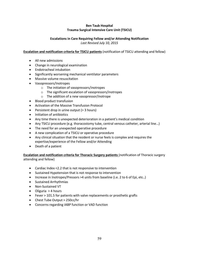#### **Ben Taub Hospital Trauma Surgical Intensive Care Unit (TSICU)**

## **Escalations in Care Requiring Fellow and/or Attending Notification**

*Last Revised July 10, 2015*

#### **Escalation and notification criteria for TSICU patients** (notification of TSICU attending and fellow)

- All new admissions
- Change in neurological examination
- Endotracheal intubation
- Significantly worsening mechanical ventilator parameters
- Massive volume resuscitation
- Vasopressors/Inotropes
	- o The initiation of vasopressors/inotropes
	- o The significant escalation of vasopressors/inotropes
	- o The addition of a new vasopressor/inotrope
- Blood product transfusion
- Activation of the Massive Transfusion Protocol
- Persistent drop in urine output (> 3 hours)
- Initiation of antibiotics
- Any time there is unexpected deterioration in a patient's medical condition
- Any TSICU procedure (e.g. thoracostomy tube, central venous catheter, arterial line...)
- The need for an unexpected operative procedure
- A new complication of a TSICU or operative procedure
- Any clinical situation that the resident or nurse feels is complex and requires the expertise/experience of the Fellow and/or Attending
- Death of a patient

#### **Escalation and notification criteria for Thoracic Surgery patients** (notification of Thoracic surgery attending and fellow)

- Cardiac Index <2.2 that is not responsive to intervention
- Sustained Hypotension that is not response to intervention
- Increase in Inotropes/Pressors >4 units from baseline (i.e. 2 to 6 of Epi, etc..)
- Sustained Arrhythmias
- Non-Sustained VT
- Oliguria > 4 hours
- Fever > 101.5 for patients with valve replacements or prosthetic grafts
- Chest Tube Output > 250cc/hr
- Concerns regarding IABP function or VAD function